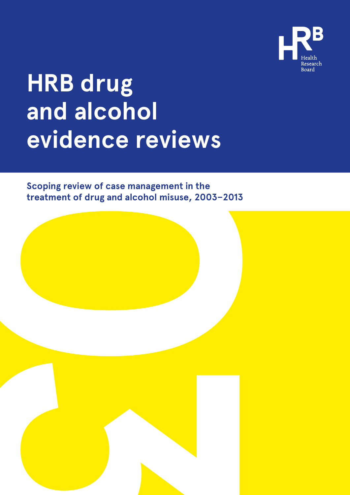

# **HRB drug and alcohol evidence reviews**

**treatment of drug and alcohol misuse, 2003–2013**

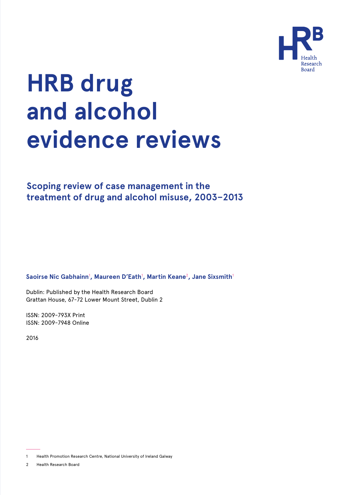

# **HRB drug and alcohol evidence reviews**

**Scoping review of case management in the treatment of drug and alcohol misuse, 2003–2013**

 $\boldsymbol{\mathsf{S}}$ aoirse Nic Gabhainn<sup>1</sup>, Maureen D'Eath<sup>1</sup>, Martin Keane<sup>2</sup>, Jane Sixsmith $^1$ 

Dublin: Published by the Health Research Board Grattan House, 67-72 Lower Mount Street, Dublin 2

ISSN: 2009-793X Print ISSN: 2009-7948 Online

2016

<sup>1</sup> Health Promotion Research Centre, National University of Ireland Galway

<sup>2</sup> Health Research Board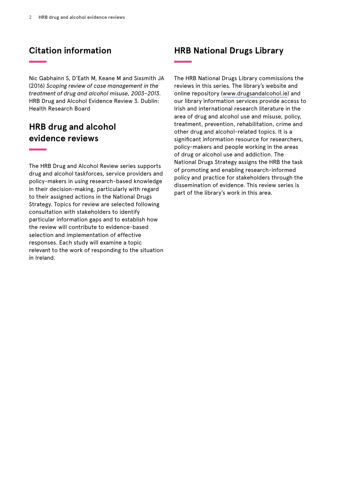## **Citation information**

Nic Gabhainn S, D'Eath M, Keane M and Sixsmith JA (2016) *Scoping review of case management in the treatment of drug and alcohol misuse, 2003–2013.*  HRB Drug and Alcohol Evidence Review 3. Dublin: Health Research Board

## **HRB drug and alcohol evidence reviews**

The HRB Drug and Alcohol Review series supports drug and alcohol taskforces, service providers and policy-makers in using research-based knowledge in their decision-making, particularly with regard to their assigned actions in the National Drugs Strategy. Topics for review are selected following consultation with stakeholders to identify particular information gaps and to establish how the review will contribute to evidence-based selection and implementation of effective responses. Each study will examine a topic relevant to the work of responding to the situation in Ireland.

## **HRB National Drugs Library**

The HRB National Drugs Library commissions the reviews in this series. The library's website and online repository (www.drugsandalcohol.ie) and our library information services provide access to Irish and international research literature in the area of drug and alcohol use and misuse, policy, treatment, prevention, rehabilitation, crime and other drug and alcohol-related topics. It is a significant information resource for researchers, policy-makers and people working in the areas of drug or alcohol use and addiction. The National Drugs Strategy assigns the HRB the task of promoting and enabling research-informed policy and practice for stakeholders through the dissemination of evidence. This review series is part of the library's work in this area.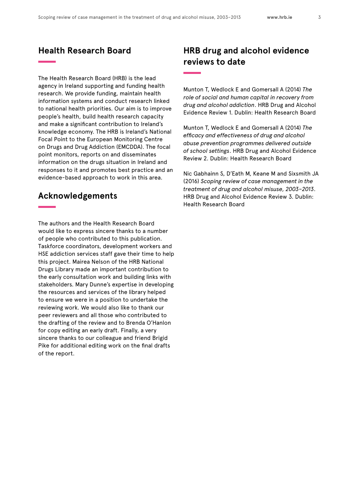## **Health Research Board**

The Health Research Board (HRB) is the lead agency in Ireland supporting and funding health research. We provide funding, maintain health information systems and conduct research linked to national health priorities. Our aim is to improve people's health, build health research capacity and make a significant contribution to Ireland's knowledge economy. The HRB is Ireland's National Focal Point to the European Monitoring Centre on Drugs and Drug Addiction (EMCDDA). The focal point monitors, reports on and disseminates information on the drugs situation in Ireland and responses to it and promotes best practice and an evidence-based approach to work in this area.

### **Acknowledgements**

The authors and the Health Research Board would like to express sincere thanks to a number of people who contributed to this publication. Taskforce coordinators, development workers and HSE addiction services staff gave their time to help this project. Mairea Nelson of the HRB National Drugs Library made an important contribution to the early consultation work and building links with stakeholders. Mary Dunne's expertise in developing the resources and services of the library helped to ensure we were in a position to undertake the reviewing work. We would also like to thank our peer reviewers and all those who contributed to the drafting of the review and to Brenda O'Hanlon for copy editing an early draft. Finally, a very sincere thanks to our colleague and friend Brigid Pike for additional editing work on the final drafts of the report.

## **HRB drug and alcohol evidence reviews to date**

Munton T, Wedlock E and Gomersall A (2014) *The role of social and human capital in recovery from drug and alcohol addiction*. HRB Drug and Alcohol Evidence Review 1. Dublin: Health Research Board

Munton T, Wedlock E and Gomersall A (2014) *The efficacy and effectiveness of drug and alcohol abuse prevention programmes delivered outside of school settings*. HRB Drug and Alcohol Evidence Review 2. Dublin: Health Research Board

Nic Gabhainn S, D'Eath M, Keane M and Sixsmith JA (2016) *Scoping review of case management in the treatment of drug and alcohol misuse, 2003–2013*. HRB Drug and Alcohol Evidence Review 3. Dublin: Health Research Board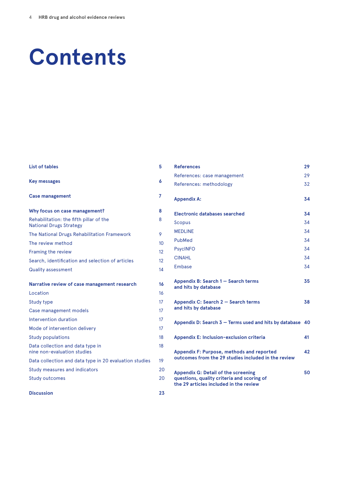# **Contents**

| <b>List of tables</b>                                                     | 5                 |
|---------------------------------------------------------------------------|-------------------|
| <b>Key messages</b>                                                       | 6                 |
| <b>Case management</b>                                                    | 7                 |
| Why focus on case management?                                             | 8                 |
| Rehabilitation: the fifth pillar of the<br><b>National Drugs Strategy</b> | 8                 |
| The National Drugs Rehabilitation Framework                               | 9                 |
| The review method                                                         | 10 <sup>°</sup>   |
| Framing the review                                                        | 12                |
| Search, identification and selection of articles                          | $12 \overline{ }$ |
| <b>Quality assessment</b>                                                 | 14                |
| Narrative review of case management research                              | 16                |
| Location                                                                  | 16                |
| Study type                                                                | 17                |
| Case management models                                                    | 17                |
| Intervention duration                                                     | 17                |
| Mode of intervention delivery                                             | 17                |
| <b>Study populations</b>                                                  | 18                |
| Data collection and data type in<br>nine non-evaluation studies           | 18                |
| Data collection and data type in 20 evaluation studies                    | 19                |
| <b>Study measures and indicators</b>                                      | 20                |
| <b>Study outcomes</b>                                                     | 20                |
| <b>Discussion</b>                                                         | 23                |

| <b>References</b>                                                                                | 29 |
|--------------------------------------------------------------------------------------------------|----|
| References: case management                                                                      | 29 |
| References: methodology                                                                          | 32 |
| <b>Appendix A:</b>                                                                               | 34 |
| Electronic databases searched                                                                    | 34 |
| Scopus                                                                                           | 34 |
| <b>MEDLINE</b>                                                                                   | 34 |
| PubMed                                                                                           | 34 |
| <b>PsycINFO</b>                                                                                  | 34 |
| <b>CINAHL</b>                                                                                    | 34 |
| Embase                                                                                           | 34 |
| Appendix B: Search 1 - Search terms<br>and hits by database                                      | 35 |
| Appendix C: Search 2 – Search terms<br>and hits by database                                      | 38 |
|                                                                                                  |    |
| Appendix D: Search $3$ – Terms used and hits by database                                         | 40 |
| <b>Appendix E: Inclusion-exclusion criteria</b>                                                  | 41 |
| Appendix F: Purpose, methods and reported<br>outcomes from the 29 studies included in the review | 42 |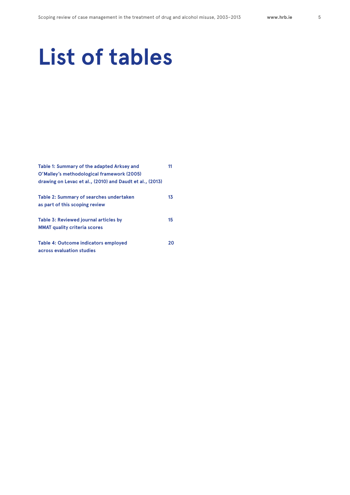## **List of tables**

| Table 1: Summary of the adapted Arksey and               |    |  |  |  |
|----------------------------------------------------------|----|--|--|--|
| O'Malley's methodological framework (2005)               |    |  |  |  |
| drawing on Levac et al., (2010) and Daudt et al., (2013) |    |  |  |  |
| Table 2: Summary of searches undertaken                  | 13 |  |  |  |
| as part of this scoping review                           |    |  |  |  |
| Table 3: Reviewed journal articles by                    | 15 |  |  |  |
| <b>MMAT quality criteria scores</b>                      |    |  |  |  |
| Table 4: Outcome indicators employed                     | 20 |  |  |  |
| across evaluation studies                                |    |  |  |  |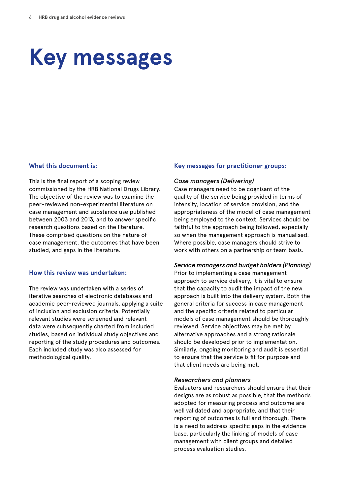# **Key messages**

#### **What this document is:**

This is the final report of a scoping review commissioned by the HRB National Drugs Library. The objective of the review was to examine the peer-reviewed non-experimental literature on case management and substance use published between 2003 and 2013, and to answer specific research questions based on the literature. These comprised questions on the nature of case management, the outcomes that have been studied, and gaps in the literature.

#### **How this review was undertaken:**

The review was undertaken with a series of iterative searches of electronic databases and academic peer-reviewed journals, applying a suite of inclusion and exclusion criteria. Potentially relevant studies were screened and relevant data were subsequently charted from included studies, based on individual study objectives and reporting of the study procedures and outcomes. Each included study was also assessed for methodological quality.

#### **Key messages for practitioner groups:**

#### *Case managers (Delivering)*

Case managers need to be cognisant of the quality of the service being provided in terms of intensity, location of service provision, and the appropriateness of the model of case management being employed to the context. Services should be faithful to the approach being followed, especially so when the management approach is manualised. Where possible, case managers should strive to work with others on a partnership or team basis.

#### *Service managers and budget holders (Planning)*

Prior to implementing a case management approach to service delivery, it is vital to ensure that the capacity to audit the impact of the new approach is built into the delivery system. Both the general criteria for success in case management and the specific criteria related to particular models of case management should be thoroughly reviewed. Service objectives may be met by alternative approaches and a strong rationale should be developed prior to implementation. Similarly, ongoing monitoring and audit is essential to ensure that the service is fit for purpose and that client needs are being met.

#### *Researchers and planners*

Evaluators and researchers should ensure that their designs are as robust as possible, that the methods adopted for measuring process and outcome are well validated and appropriate, and that their reporting of outcomes is full and thorough. There is a need to address specific gaps in the evidence base, particularly the linking of models of case management with client groups and detailed process evaluation studies.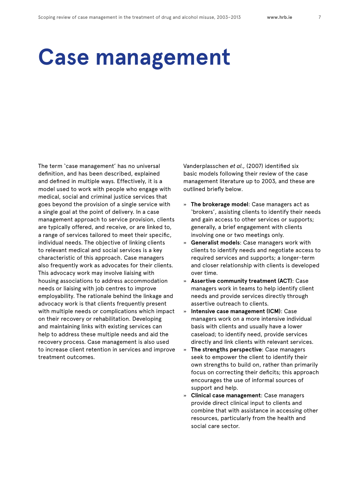## **Case management**

The term 'case management' has no universal definition, and has been described, explained and defined in multiple ways. Effectively, it is a model used to work with people who engage with medical, social and criminal justice services that goes beyond the provision of a single service with a single goal at the point of delivery. In a case management approach to service provision, clients are typically offered, and receive, or are linked to, a range of services tailored to meet their specific, individual needs. The objective of linking clients to relevant medical and social services is a key characteristic of this approach. Case managers also frequently work as advocates for their clients. This advocacy work may involve liaising with housing associations to address accommodation needs or liaising with job centres to improve employability. The rationale behind the linkage and advocacy work is that clients frequently present with multiple needs or complications which impact on their recovery or rehabilitation. Developing and maintaining links with existing services can help to address these multiple needs and aid the recovery process. Case management is also used to increase client retention in services and improve treatment outcomes.

Vanderplasschen *et al.,* (2007) identified six basic models following their review of the case management literature up to 2003, and these are outlined briefly below.

- » **The brokerage model**: Case managers act as 'brokers', assisting clients to identify their needs and gain access to other services or supports; generally, a brief engagement with clients involving one or two meetings only.
- » **Generalist models**: Case managers work with clients to identify needs and negotiate access to required services and supports; a longer-term and closer relationship with clients is developed over time.
- » **Assertive community treatment (ACT)**: Case managers work in teams to help identify client needs and provide services directly through assertive outreach to clients.
- » **Intensive case management (ICM)**: Case managers work on a more intensive individual basis with clients and usually have a lower caseload; to identify need, provide services directly and link clients with relevant services.
- » **The strengths perspective**: Case managers seek to empower the client to identify their own strengths to build on, rather than primarily focus on correcting their deficits; this approach encourages the use of informal sources of support and help.
- » **Clinical case management**: Case managers provide direct clinical input to clients and combine that with assistance in accessing other resources, particularly from the health and social care sector.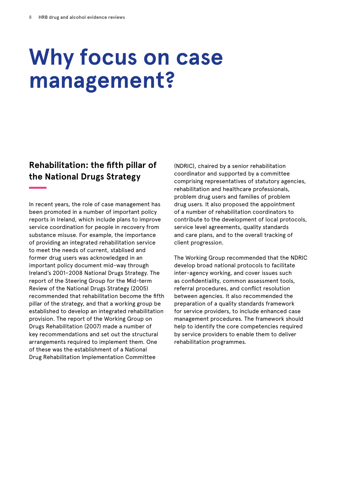## **Why focus on case management?**

## **Rehabilitation: the fifth pillar of the National Drugs Strategy**

In recent years, the role of case management has been promoted in a number of important policy reports in Ireland, which include plans to improve service coordination for people in recovery from substance misuse. For example, the importance of providing an integrated rehabilitation service to meet the needs of current, stablised and former drug users was acknowledged in an important policy document mid-way through Ireland's 2001–2008 National Drugs Strategy. The report of the Steering Group for the Mid-term Review of the National Drugs Strategy (2005) recommended that rehabilitation become the fifth pillar of the strategy, and that a working group be established to develop an integrated rehabilitation provision. The report of the Working Group on Drugs Rehabilitation (2007) made a number of key recommendations and set out the structural arrangements required to implement them. One of these was the establishment of a National Drug Rehabilitation Implementation Committee

(NDRIC), chaired by a senior rehabilitation coordinator and supported by a committee comprising representatives of statutory agencies, rehabilitation and healthcare professionals, problem drug users and families of problem drug users. It also proposed the appointment of a number of rehabilitation coordinators to contribute to the development of local protocols, service level agreements, quality standards and care plans, and to the overall tracking of client progression.

The Working Group recommended that the NDRIC develop broad national protocols to facilitate inter-agency working, and cover issues such as confidentiality, common assessment tools, referral procedures, and conflict resolution between agencies. It also recommended the preparation of a quality standards framework for service providers, to include enhanced case management procedures. The framework should help to identify the core competencies required by service providers to enable them to deliver rehabilitation programmes.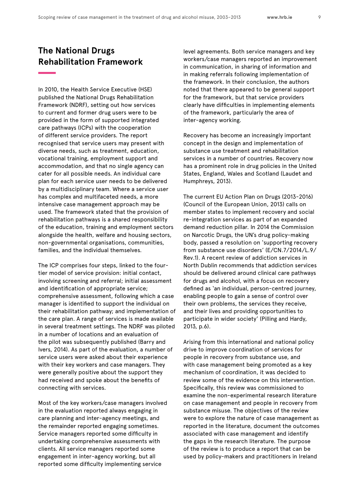## **The National Drugs Rehabilitation Framework**

In 2010, the Health Service Executive (HSE) published the National Drugs Rehabilitation Framework (NDRF), setting out how services to current and former drug users were to be provided in the form of supported integrated care pathways (ICPs) with the cooperation of different service providers. The report recognised that service users may present with diverse needs, such as treatment, education, vocational training, employment support and accommodation, and that no single agency can cater for all possible needs. An individual care plan for each service user needs to be delivered by a multidisciplinary team. Where a service user has complex and multifaceted needs, a more intensive case management approach may be used. The framework stated that the provision of rehabilitation pathways is a shared responsibility of the education, training and employment sectors alongside the health, welfare and housing sectors, non-governmental organisations, communities, families, and the individual themselves.

The ICP comprises four steps, linked to the fourtier model of service provision: initial contact, involving screening and referral; initial assessment and identification of appropriate service; comprehensive assessment, following which a case manager is identified to support the individual on their rehabilitation pathway; and implementation of the care plan. A range of services is made available in several treatment settings. The NDRF was piloted in a number of locations and an evaluation of the pilot was subsequently published (Barry and Ivers, 2014). As part of the evaluation, a number of service users were asked about their experience with their key workers and case managers. They were generally positive about the support they had received and spoke about the benefits of connecting with services.

Most of the key workers/case managers involved in the evaluation reported always engaging in care planning and inter-agency meetings, and the remainder reported engaging sometimes. Service managers reported some difficulty in undertaking comprehensive assessments with clients. All service managers reported some engagement in inter-agency working, but all reported some difficulty implementing service

level agreements. Both service managers and key workers/case managers reported an improvement in communication, in sharing of information and in making referrals following implementation of the framework. In their conclusion, the authors noted that there appeared to be general support for the framework, but that service providers clearly have difficulties in implementing elements of the framework, particularly the area of inter-agency working.

Recovery has become an increasingly important concept in the design and implementation of substance use treatment and rehabilitation services in a number of countries. Recovery now has a prominent role in drug policies in the United States, England, Wales and Scotland (Laudet and Humphreys, 2013).

The current EU Action Plan on Drugs (2013-2016) (Council of the European Union, 2013) calls on member states to implement recovery and social re-integration services as part of an expanded demand reduction pillar. In 2014 the Commission on Narcotic Drugs, the UN's drug policy-making body, passed a resolution on 'supporting recovery from substance use disorders' (E/CN.7/2014/L.9/ Rev.1). A recent review of addiction services in North Dublin recommends that addiction services should be delivered around clinical care pathways for drugs and alcohol, with a focus on recovery defined as 'an individual, person-centred journey, enabling people to gain a sense of control over their own problems, the services they receive, and their lives and providing opportunities to participate in wider society' (Pilling and Hardy, 2013, p.6).

Arising from this international and national policy drive to improve coordination of services for people in recovery from substance use, and with case management being promoted as a key mechanism of coordination, it was decided to review some of the evidence on this intervention. Specifically, this review was commissioned to examine the non-experimental research literature on case management and people in recovery from substance misuse. The objectives of the review were to explore the nature of case management as reported in the literature, document the outcomes associated with case management and identify the gaps in the research literature. The purpose of the review is to produce a report that can be used by policy-makers and practitioners in Ireland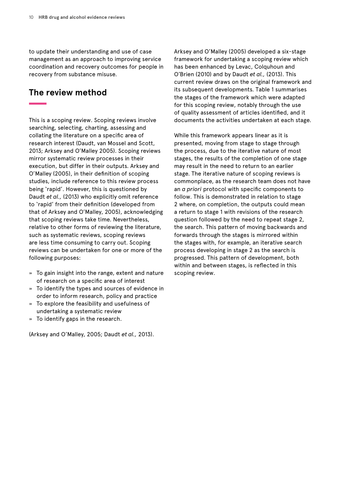to update their understanding and use of case management as an approach to improving service coordination and recovery outcomes for people in recovery from substance misuse.

### **The review method**

This is a scoping review. Scoping reviews involve searching, selecting, charting, assessing and collating the literature on a specific area of research interest (Daudt, van Mossel and Scott, 2013; Arksey and O'Malley 2005). Scoping reviews mirror systematic review processes in their execution, but differ in their outputs. Arksey and O'Malley (2005), in their definition of scoping studies, include reference to this review process being 'rapid'. However, this is questioned by Daudt *et al.,* (2013) who explicitly omit reference to 'rapid' from their definition (developed from that of Arksey and O'Malley, 2005), acknowledging that scoping reviews take time. Nevertheless, relative to other forms of reviewing the literature, such as systematic reviews, scoping reviews are less time consuming to carry out. Scoping reviews can be undertaken for one or more of the following purposes:

- » To gain insight into the range, extent and nature of research on a specific area of interest
- » To identify the types and sources of evidence in order to inform research, policy and practice
- » To explore the feasibility and usefulness of undertaking a systematic review
- » To identify gaps in the research.

(Arksey and O'Malley, 2005; Daudt *et al.,* 2013).

Arksey and O'Malley (2005) developed a six-stage framework for undertaking a scoping review which has been enhanced by Levac, Colquhoun and O'Brien (2010) and by Daudt *et al.,* (2013). This current review draws on the original framework and its subsequent developments. Table 1 summarises the stages of the framework which were adapted for this scoping review, notably through the use of quality assessment of articles identified, and it documents the activities undertaken at each stage.

While this framework appears linear as it is presented, moving from stage to stage through the process, due to the iterative nature of most stages, the results of the completion of one stage may result in the need to return to an earlier stage. The iterative nature of scoping reviews is commonplace, as the research team does not have an *a priori* protocol with specific components to follow. This is demonstrated in relation to stage 2 where, on completion, the outputs could mean a return to stage 1 with revisions of the research question followed by the need to repeat stage 2, the search. This pattern of moving backwards and forwards through the stages is mirrored within the stages with, for example, an iterative search process developing in stage 2 as the search is progressed. This pattern of development, both within and between stages, is reflected in this scoping review.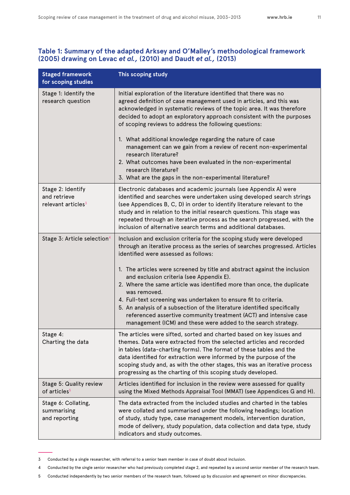#### **Table 1: Summary of the adapted Arksey and O'Malley's methodological framework (2005) drawing on Levac et al., (2010) and Daudt et al., (2013)**

| <b>Staged framework</b><br>for scoping studies                      | This scoping study                                                                                                                                                                                                                                                                                                                                                                                                                                                                                                                                                                                                                                                                                    |
|---------------------------------------------------------------------|-------------------------------------------------------------------------------------------------------------------------------------------------------------------------------------------------------------------------------------------------------------------------------------------------------------------------------------------------------------------------------------------------------------------------------------------------------------------------------------------------------------------------------------------------------------------------------------------------------------------------------------------------------------------------------------------------------|
| Stage 1: Identify the<br>research question                          | Initial exploration of the literature identified that there was no<br>agreed definition of case management used in articles, and this was<br>acknowledged in systematic reviews of the topic area. It was therefore<br>decided to adopt an exploratory approach consistent with the purposes<br>of scoping reviews to address the following questions:<br>1. What additional knowledge regarding the nature of case<br>management can we gain from a review of recent non-experimental<br>research literature?<br>2. What outcomes have been evaluated in the non-experimental<br>research literature?<br>3. What are the gaps in the non-experimental literature?                                    |
| Stage 2: Identify<br>and retrieve<br>relevant articles <sup>3</sup> | Electronic databases and academic journals (see Appendix A) were<br>identified and searches were undertaken using developed search strings<br>(see Appendices B, C, D) in order to identify literature relevant to the<br>study and in relation to the initial research questions. This stage was<br>repeated through an iterative process as the search progressed, with the<br>inclusion of alternative search terms and additional databases.                                                                                                                                                                                                                                                      |
| Stage 3: Article selection <sup>4</sup>                             | Inclusion and exclusion criteria for the scoping study were developed<br>through an iterative process as the series of searches progressed. Articles<br>identified were assessed as follows:<br>1. The articles were screened by title and abstract against the inclusion<br>and exclusion criteria (see Appendix E).<br>2. Where the same article was identified more than once, the duplicate<br>was removed.<br>4. Full-text screening was undertaken to ensure fit to criteria.<br>5. An analysis of a subsection of the literature identified specifically<br>referenced assertive community treatment (ACT) and intensive case<br>management (ICM) and these were added to the search strategy. |
| Stage 4:<br>Charting the data                                       | The articles were sifted, sorted and charted based on key issues and<br>themes. Data were extracted from the selected articles and recorded<br>in tables (data-charting forms). The format of these tables and the<br>data identified for extraction were informed by the purpose of the<br>scoping study and, as with the other stages, this was an iterative process<br>progressing as the charting of this scoping study developed.                                                                                                                                                                                                                                                                |
| Stage 5: Quality review<br>of articles <sup>5</sup>                 | Articles identified for inclusion in the review were assessed for quality<br>using the Mixed Methods Appraisal Tool (MMAT) (see Appendices G and H).                                                                                                                                                                                                                                                                                                                                                                                                                                                                                                                                                  |
| Stage 6: Collating,<br>summarising<br>and reporting                 | The data extracted from the included studies and charted in the tables<br>were collated and summarised under the following headings; location<br>of study, study type, case management models, intervention duration,<br>mode of delivery, study population, data collection and data type, study<br>indicators and study outcomes.                                                                                                                                                                                                                                                                                                                                                                   |

<sup>3</sup> Conducted by a single researcher, with referral to a senior team member in case of doubt about inclusion.

<sup>4</sup> Conducted by the single senior researcher who had previously completed stage 2, and repeated by a second senior member of the research team.

<sup>5</sup> Conducted independently by two senior members of the research team, followed up by discussion and agreement on minor discrepancies.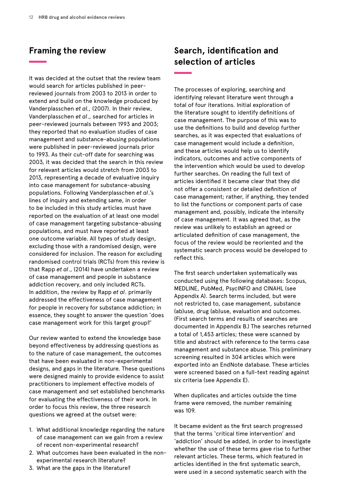## **Framing the review**

It was decided at the outset that the review team would search for articles published in peerreviewed journals from 2003 to 2013 in order to extend and build on the knowledge produced by Vanderplasschen *et al.,* (2007). In their review, Vanderplasschen *et al*., searched for articles in peer-reviewed journals between 1993 and 2003; they reported that no evaluation studies of case management and substance-abusing populations were published in peer-reviewed journals prior to 1993. As their cut-off date for searching was 2003, it was decided that the search in this review for relevant articles would stretch from 2003 to 2013, representing a decade of evaluative inquiry into case management for substance-abusing populations. Following Vanderplasschen *et al*.'s lines of inquiry and extending same, in order to be included in this study articles must have reported on the evaluation of at least one model of case management targeting substance-abusing populations, and must have reported at least one outcome variable. All types of study design, excluding those with a randomised design, were considered for inclusion. The reason for excluding randomised control trials (RCTs) from this review is that Rapp *et al*., (2014) have undertaken a review of case management and people in substance addiction recovery, and only included RCTs. In addition, the review by Rapp *et al*. primarily addressed the effectiveness of case management for people in recovery for substance addiction; in essence, they sought to answer the question 'does case management work for this target group?'

Our review wanted to extend the knowledge base beyond effectiveness by addressing questions as to the nature of case management, the outcomes that have been evaluated in non-experimental designs, and gaps in the literature. These questions were designed mainly to provide evidence to assist practitioners to implement effective models of case management and set established benchmarks for evaluating the effectiveness of their work. In order to focus this review, the three research questions we agreed at the outset were:

- 1. What additional knowledge regarding the nature of case management can we gain from a review of recent non-experimental research?
- 2. What outcomes have been evaluated in the nonexperimental research literature?
- 3. What are the gaps in the literature?

## **Search, identification and selection of articles**

The processes of exploring, searching and identifying relevant literature went through a total of four iterations. Initial exploration of the literature sought to identify definitions of case management. The purpose of this was to use the definitions to build and develop further searches, as it was expected that evaluations of case management would include a definition, and these articles would help us to identify indicators, outcomes and active components of the intervention which would be used to develop further searches. On reading the full text of articles identified it became clear that they did not offer a consistent or detailed definition of case management; rather, if anything, they tended to list the functions or component parts of case management and, possibly, indicate the intensity of case management. It was agreed that, as the review was unlikely to establish an agreed or articulated definition of case management, the focus of the review would be reoriented and the systematic search process would be developed to reflect this.

The first search undertaken systematically was conducted using the following databases: Scopus, MEDLINE, PubMed, PsycINFO and CINAHL (see Appendix A). Search terms included, but were not restricted to, case management, substance (ab)use, drug (ab)use, evaluation and outcomes. (First search terms and results of searches are documented in Appendix B.) The searches returned a total of 1,453 articles; these were scanned by title and abstract with reference to the terms case management and substance abuse. This preliminary screening resulted in 304 articles which were exported into an EndNote database. These articles were screened based on a full-text reading against six criteria (see Appendix E).

When duplicates and articles outside the time frame were removed, the number remaining was 109.

It became evident as the first search progressed that the terms 'critical time intervention' and 'addiction' should be added, in order to investigate whether the use of these terms gave rise to further relevant articles. These terms, which featured in articles identified in the first systematic search, were used in a second systematic search with the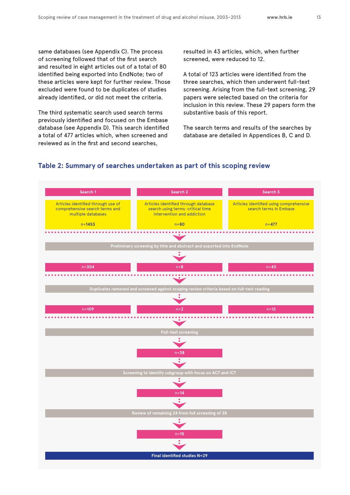same databases (see Appendix C). The process of screening followed that of the first search and resulted in eight articles out of a total of 80 identified being exported into EndNote; two of these articles were kept for further review. Those excluded were found to be duplicates of studies already identified, or did not meet the criteria.

The third systematic search used search terms previously identified and focused on the Embase database (see Appendix D). This search identified a total of 477 articles which, when screened and reviewed as in the first and second searches,

resulted in 43 articles, which, when further screened, were reduced to 12.

A total of 123 articles were identified from the three searches, which then underwent full-text screening. Arising from the full-text screening, 29 papers were selected based on the criteria for inclusion in this review. These 29 papers form the substantive basis of this report.

The search terms and results of the searches by database are detailed in Appendices B, C and D.

#### **Table 2: Summary of searches undertaken as part of this scoping review**

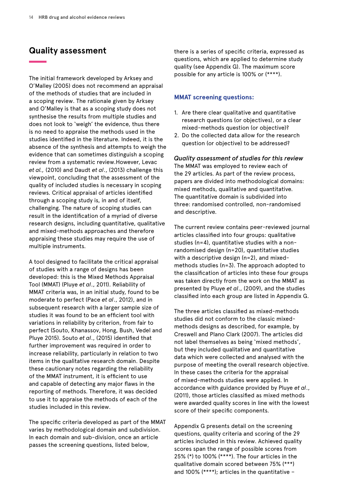### **Quality assessment**

The initial framework developed by Arksey and O'Malley (2005) does not recommend an appraisal of the methods of studies that are included in a scoping review. The rationale given by Arksey and O'Malley is that as a scoping study does not synthesise the results from multiple studies and does not look to 'weigh' the evidence, thus there is no need to appraise the methods used in the studies identified in the literature. Indeed, it is the absence of the synthesis and attempts to weigh the evidence that can sometimes distinguish a scoping review from a systematic review.However, Levac *et al.,* (2010) and Daudt *et al*., (2013) challenge this viewpoint, concluding that the assessment of the quality of included studies is necessary in scoping reviews. Critical appraisal of articles identified through a scoping study is, in and of itself, challenging. The nature of scoping studies can result in the identification of a myriad of diverse research designs, including quantitative, qualitative and mixed-methods approaches and therefore appraising these studies may require the use of multiple instruments.

A tool designed to facilitate the critical appraisal of studies with a range of designs has been developed: this is the Mixed Methods Appraisal Tool (MMAT) (Pluye *et al*., 2011). Reliability of MMAT criteria was, in an initial study, found to be moderate to perfect (Pace *et al*., 2012), and in subsequent research with a larger sample size of studies it was found to be an efficient tool with variations in reliability by criterion, from fair to perfect (Souto, Khanassov, Hong, Bush, Vedel and Pluye 2015). Souto *et al*., (2015) identified that further improvement was required in order to increase reliability, particularly in relation to two items in the qualitative research domain. Despite these cautionary notes regarding the reliability of the MMAT instrument, it is efficient to use and capable of detecting any major flaws in the reporting of methods. Therefore, it was decided to use it to appraise the methods of each of the studies included in this review.

The specific criteria developed as part of the MMAT varies by methodological domain and subdivision. In each domain and sub-division, once an article passes the screening questions, listed below,

there is a series of specific criteria, expressed as questions, which are applied to determine study quality (see Appendix G). The maximum score possible for any article is 100% or (\*\*\*\*).

#### **MMAT screening questions:**

- 1. Are there clear qualitative and quantitative research questions (or objectives), or a clear mixed-methods question (or objective)?
- 2. Do the collected data allow for the research question (or objective) to be addressed?

*Quality assessment of studies for this review* The MMAT was employed to review each of the 29 articles. As part of the review process, papers are divided into methodological domains: mixed methods, qualitative and quantitative. The quantitative domain is subdivided into three: randomised controlled, non-randomised and descriptive.

The current review contains peer-reviewed journal articles classified into four groups: qualitative studies (n=4), quantitative studies with a nonrandomised design (n=20), quantitative studies with a descriptive design (n=2), and mixedmethods studies (n=3). The approach adopted to the classification of articles into these four groups was taken directly from the work on the MMAT as presented by Pluye *et al*., (2009), and the studies classified into each group are listed in Appendix G.

The three articles classified as mixed-methods studies did not conform to the classic mixedmethods designs as described, for example, by Creswell and Plano Clark (2007). The articles did not label themselves as being 'mixed methods', but they included qualitative and quantitative data which were collected and analysed with the purpose of meeting the overall research objective. In these cases the criteria for the appraisal of mixed-methods studies were applied. In accordance with guidance provided by Pluye *et al*., (2011), those articles classified as mixed methods were awarded quality scores in line with the lowest score of their specific components.

Appendix G presents detail on the screening questions, quality criteria and scoring of the 29 articles included in this review. Achieved quality scores span the range of possible scores from 25% (\*) to 100% (\*\*\*\*). The four articles in the qualitative domain scored between 75% (\*\*\*) and 100% (\*\*\*\*); articles in the quantitative –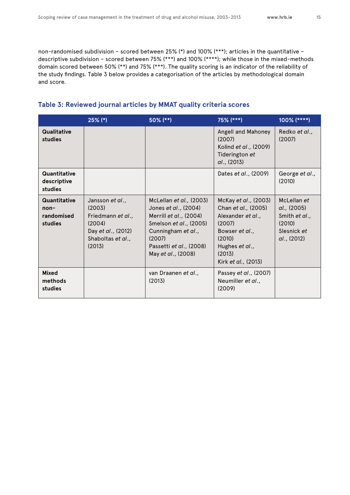non-randomised subdivision – scored between 25% (\*) and 100% (\*\*\*); articles in the quantitative – descriptive subdivision - scored between 75% (\*\*\*) and 100% (\*\*\*\*); while those in the mixed-methods domain scored between 50% (\*\*) and 75% (\*\*\*). The quality scoring is an indicator of the reliability of the study findings. Table 3 below provides a categorisation of the articles by methodological domain and score.

### **Table 3: Reviewed journal articles by MMAT quality criteria scores**

|                                                        | $25\%$ (*)                                                                                                            | $50\%$ (**)                                                                                                                                                                                          | $75\%$ (***)                                                                                                                                                             | $100\%$ (****)                                                                      |
|--------------------------------------------------------|-----------------------------------------------------------------------------------------------------------------------|------------------------------------------------------------------------------------------------------------------------------------------------------------------------------------------------------|--------------------------------------------------------------------------------------------------------------------------------------------------------------------------|-------------------------------------------------------------------------------------|
| <b>Qualitative</b><br>studies                          |                                                                                                                       |                                                                                                                                                                                                      | Angell and Mahoney<br>(2007)<br>Kolind et al., (2009)<br>Tiderington et<br>al., (2013)                                                                                   | Redko <i>et al.</i> ,<br>(2007)                                                     |
| Quantitative<br>descriptive<br>studies                 |                                                                                                                       |                                                                                                                                                                                                      | Dates et al., (2009)                                                                                                                                                     | George et al.,<br>(2010)                                                            |
| <b>Quantitative</b><br>$non-$<br>randomised<br>studies | Jansson <i>et al.</i> ,<br>(2003)<br>Friedmann et al.,<br>(2004)<br>Day et al., (2012)<br>Shaboltas et al.,<br>(2013) | McLellan <i>et al.</i> , (2003)<br>Jones <i>et al.</i> , (2004)<br>Merrill et al., (2004)<br>Smelson et al., (2005)<br>Cunningham et al.,<br>(2007)<br>Passetti et al., (2008)<br>May et al., (2008) | McKay <i>et al.</i> , (2003)<br>Chan et al., (2005)<br>Alexander et al.,<br>(2007)<br>Bowser et al.,<br>(2010)<br>Hughes et al.,<br>(2013)<br>Kirk <i>et al.,</i> (2013) | McLellan et<br>al., (2005)<br>Smith et al.,<br>(2010)<br>Slesnick et<br>al., (2012) |
| <b>Mixed</b><br>methods<br>studies                     |                                                                                                                       | van Draanen et al.,<br>(2013)                                                                                                                                                                        | Passey et al., (2007)<br>Neumiller et al.,<br>(2009)                                                                                                                     |                                                                                     |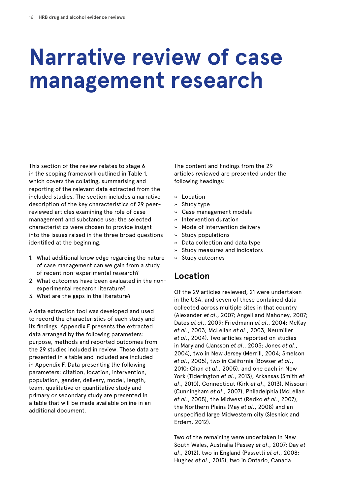# **Narrative review of case management research**

This section of the review relates to stage 6 in the scoping framework outlined in Table 1, which covers the collating, summarising and reporting of the relevant data extracted from the included studies. The section includes a narrative description of the key characteristics of 29 peerreviewed articles examining the role of case management and substance use; the selected characteristics were chosen to provide insight into the issues raised in the three broad questions identified at the beginning.

- 1. What additional knowledge regarding the nature of case management can we gain from a study of recent non-experimental research?
- 2. What outcomes have been evaluated in the nonexperimental research literature?
- 3. What are the gaps in the literature?

A data extraction tool was developed and used to record the characteristics of each study and its findings. Appendix F presents the extracted data arranged by the following parameters: purpose, methods and reported outcomes from the 29 studies included in review. These data are presented in a table and included are included in Appendix F. Data presenting the following parameters: citation, location, intervention, population, gender, delivery, model, length, team, qualitative or quantitative study and primary or secondary study are presented in a table that will be made available online in an additional document.

The content and findings from the 29 articles reviewed are presented under the following headings:

- » Location
- » Study type
- » Case management models
- » Intervention duration
- » Mode of intervention delivery
- » Study populations
- » Data collection and data type
	- Study measures and indicators
- » Study outcomes

### **Location**

Of the 29 articles reviewed, 21 were undertaken in the USA, and seven of these contained data collected across multiple sites in that country (Alexander *et al*., 2007; Angell and Mahoney, 2007; Dates *et al*., 2009; Friedmann *et al*., 2004; McKay *et al*., 2003; McLellan *et al*., 2003; Neumiller *et al*., 2004). Two articles reported on studies in Maryland (Jansson *et al*., 2003; Jones *et al*., 2004), two in New Jersey (Merrill, 2004; Smelson *et al*., 2005), two in California (Bowser *et al*., 2010; Chan *et al*., 2005), and one each in New York (Tiderington *et al*., 2013), Arkansas (Smith *et al*., 2010), Connecticut (Kirk *et al*., 2013), Missouri (Cunningham *et al*., 2007), Philadelphia (McLellan *et al*., 2005), the Midwest (Redko *et al*., 2007), the Northern Plains (May *et al*., 2008) and an unspecified large Midwestern city (Slesnick and Erdem, 2012).

Two of the remaining were undertaken in New South Wales, Australia (Passey *et al*., 2007; Day *et al*., 2012), two in England (Passetti *et al*., 2008; Hughes *et al*., 2013), two in Ontario, Canada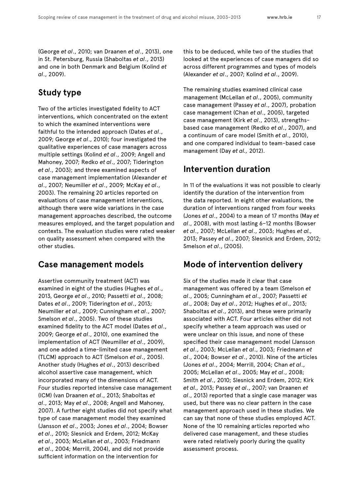(George *et al*., 2010; van Draanen *et al*., 2013), one in St. Petersburg, Russia (Shaboltas *et al*., 2013) and one in both Denmark and Belgium (Kolind *et al*., 2009).

## **Study type**

Two of the articles investigated fidelity to ACT interventions, which concentrated on the extent to which the examined interventions were faithful to the intended approach (Dates *et al*., 2009; George *et al*., 2010); four investigated the qualitative experiences of case managers across multiple settings (Kolind *et al*., 2009; Angell and Mahoney, 2007; Redko *et al*., 2007; Tiderington *et al*., 2003); and three examined aspects of case management implementation (Alexander *et al*., 2007; Neumiller *et al*., 2009; McKay *et al*., 2003). The remaining 20 articles reported on evaluations of case management interventions, although there were wide variations in the case management approaches described, the outcome measures employed, and the target population and contexts. The evaluation studies were rated weaker on quality assessment when compared with the other studies.

## **Case management models**

Assertive community treatment (ACT) was examined in eight of the studies (Hughes *et al*., 2013, George *et al*., 2010; Passetti *et al*., 2008; Dates *et al*., 2009; Tiderington *et al*., 2013; Neumiller *et al*., 2009; Cunningham *et al*., 2007; Smelson *et al*., 2005). Two of these studies examined fidelity to the ACT model (Dates *et al*., 2009; George *et al*., 2010), one examined the implementation of ACT (Neumiller *et al*., 2009), and one added a time-limited case management (TLCM) approach to ACT (Smelson *et al*., 2005). Another study (Hughes *et al*., 2013) described alcohol assertive case management, which incorporated many of the dimensions of ACT. Four studies reported intensive case management (ICM) (van Draanen *et al*., 2013; Shaboltas *et al*., 2013; May *et al*., 2008; Angell and Mahoney, 2007). A further eight studies did not specify what type of case management model they examined (Jansson *et al*., 2003; Jones *et al*., 2004; Bowser *et al*., 2010; Slesnick and Erdem, 2012; McKay *et al*., 2003; McLellan *et al*., 2003; Friedmann *et al*., 2004; Merrill, 2004), and did not provide sufficient information on the intervention for

this to be deduced, while two of the studies that looked at the experiences of case managers did so across different programmes and types of models (Alexander *et al*., 2007; Kolind *et al*., 2009).

The remaining studies examined clinical case management (McLellan *et al*., 2005), community case management (Passey *et al*., 2007), probation case management (Chan *et al*., 2005), targeted case management (Kirk *et al*., 2013), strengthsbased case management (Redko *et al*., 2007), and a continuum of care model (Smith *et al*., 2010), and one compared individual to team-based case management (Day *et al.,* 2012).

## **Intervention duration**

In 11 of the evaluations it was not possible to clearly identify the duration of the intervention from the data reported. In eight other evaluations, the duration of interventions ranged from four weeks (Jones *et al*., 2004) to a mean of 17 months (May *et al*., 2008), with most lasting 6–12 months (Bowser *et al*., 2007; McLellan *et al*., 2003; Hughes *et al.,* 2013; Passey *et al*., 2007; Slesnick and Erdem, 2012; Smelson *et al*., (2005).

## **Mode of intervention delivery**

Six of the studies made it clear that case management was offered by a team (Smelson *et al*., 2005; Cunningham *et al*., 2007; Passetti *et al*., 2008; Day *et al*., 2012; Hughes *et al*., 2013; Shaboltas *et al*., 2013), and these were primarily associated with ACT. Four articles either did not specify whether a team approach was used or were unclear on this issue, and none of these specified their case management model (Jansson *et al*., 2003; McLellan *et al*., 2003; Friedmann *et al*., 2004; Bowser *et al*., 2010). Nine of the articles (Jones *et al*., 2004; Merrill, 2004; Chan *et al*., 2005; McLellan *et al*., 2005; May *et al*., 2008; Smith *et al*., 2010; Slesnick and Erdem, 2012; Kirk *et al.,* 2013; Passey *et al*., 2007; van Draanen *et al*., 2013) reported that a single case manager was used, but there was no clear pattern in the case management approach used in these studies. We can say that none of these studies employed ACT. None of the 10 remaining articles reported who delivered case management, and these studies were rated relatively poorly during the quality assessment process.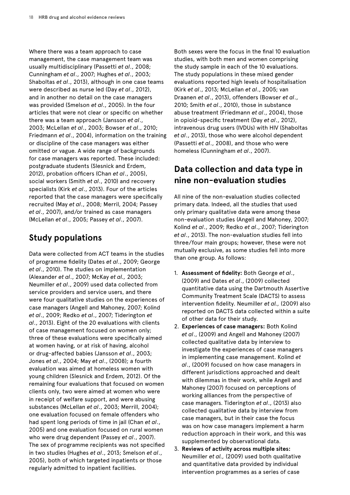Where there was a team approach to case management, the case management team was usually multidisciplinary (Passetti *et al*., 2008; Cunningham *et al*., 2007; Hughes *et al*., 2003; Shaboltas *et al*., 2013), although in one case teams were described as nurse led (Day *et al*., 2012), and in another no detail on the case managers was provided (Smelson *et al*., 2005). In the four articles that were not clear or specific on whether there was a team approach (Jansson *et al*., 2003; McLellan *et al*., 2003; Bowser *et al*., 2010; Friedmann *et al*., 2004), information on the training or discipline of the case managers was either omitted or vague. A wide range of backgrounds for case managers was reported. These included: postgraduate students (Slesnick and Erdem, 2012), probation officers (Chan *et al*., 2005), social workers (Smith *et al*., 2010) and recovery specialists (Kirk *et al*., 2013). Four of the articles reported that the case managers were specifically recruited (May *et al*., 2008; Merril, 2004; Passey *et al*., 2007), and/or trained as case managers (McLellan *et al*., 2005; Passey *et al*., 2007).

### **Study populations**

Data were collected from ACT teams in the studies of programme fidelity (Dates *et al*., 2009; George *et al*., 2010). The studies on implementation (Alexander *et al*., 2007; McKay *et al.,* 2003; Neumiller *et al*., 2009) used data collected from service providers and service users, and there were four qualitative studies on the experiences of case managers (Angell and Mahoney, 2007; Kolind *et al*., 2009; Redko *et al*., 2007; Tiderington *et al*., 2013). Eight of the 20 evaluations with clients of case management focused on women only; three of these evaluations were specifically aimed at women having, or at risk of having, alcohol or drug-affected babies (Jansson *et al*., 2003; Jones *et al*., 2004; May *et al*., (2008); a fourth evaluation was aimed at homeless women with young children (Slesnick and Erdem, 2012). Of the remaining four evaluations that focused on women clients only, two were aimed at women who were in receipt of welfare support, and were abusing substances (McLellan *et al*., 2003; Merrill, 2004); one evaluation focused on female offenders who had spent long periods of time in jail (Chan *et al*., 2005) and one evaluation focused on rural women who were drug dependent (Passey *et al*., 2007). The sex of programme recipients was not specified in two studies (Hughes *et al*., 2013; Smelson *et al*., 2005), both of which targeted inpatients or those regularly admitted to inpatient facilities.

Both sexes were the focus in the final 10 evaluation studies, with both men and women comprising the study sample in each of the 10 evaluations. The study populations in these mixed gender evaluations reported high levels of hospitalisation (Kirk *et al*., 2013; McLellan *et al*., 2005; van Draanen *et al*., 2013), offenders (Bowser *et al*., 2010; Smith *et al*., 2010), those in substance abuse treatment (Friedmann *et al*., 2004), those in opioid-specific treatment (Day *et al*., 2012), intravenous drug users (IVDUs) with HIV (Shaboltas *et al*., 2013), those who were alcohol dependent (Passetti *et al*., 2008), and those who were homeless (Cunningham *et al*., 2007).

## **Data collection and data type in nine non-evaluation studies**

All nine of the non-evaluation studies collected primary data. Indeed, all the studies that used only primary qualitative data were among these non-evaluation studies (Angell and Mahoney, 2007; Kolind *et al*., 2009; Redko *et al*., 2007; Tiderington *et al*., 2013). The non-evaluation studies fell into three/four main groups; however, these were not mutually exclusive, as some studies fell into more than one group. As follows:

- 1. **Assessment of fidelity:** Both George *et al*., (2009) and Dates *et al*., (2009) collected quantitative data using the Dartmouth Assertive Community Treatment Scale (DACTS) to assess intervention fidelity. Neumiller *et al.,* (2009) also reported on DACTS data collected within a suite of other data for their study.
- 2. **Experiences of case managers:** Both Kolind *et al*., (2009) and Angell and Mahoney (2007) collected qualitative data by interview to investigate the experiences of case managers in implementing case management. Kolind *et al*., (2009) focused on how case managers in different jurisdictions approached and dealt with dilemmas in their work, while Angell and Mahoney (2007) focused on perceptions of working alliances from the perspective of case managers. Tiderington *et al*., (2013) also collected qualitative data by interview from case managers, but in their case the focus was on how case managers implement a harm reduction approach in their work, and this was supplemented by observational data.
- 3. **Reviews of activity across multiple sites:** Neumiller *et al.,* (2009) used both qualitative and quantitative data provided by individual intervention programmes as a series of case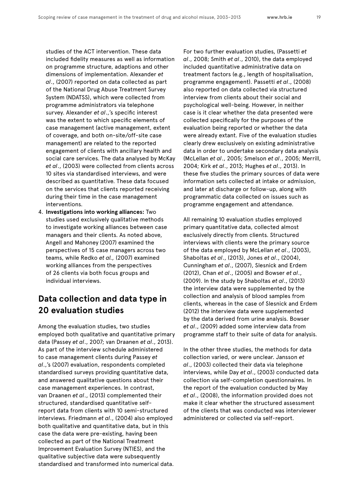studies of the ACT intervention. These data included fidelity measures as well as information on programme structure, adaptions and other dimensions of implementation. Alexander *et al*., (2007) reported on data collected as part of the National Drug Abuse Treatment Survey System (NDATSS), which were collected from programme administrators via telephone survey. Alexander *et al*.,'s specific interest was the extent to which specific elements of case management (active management, extent of coverage, and both on-site/off-site case management) are related to the reported engagement of clients with ancillary health and social care services. The data analysed by McKay *et al*., (2003) were collected from clients across 10 sites via standardised interviews, and were described as quantitative. These data focused on the services that clients reported receiving during their time in the case management interventions.

4. **Investigations into working alliances:** Two studies used exclusively qualitative methods to investigate working alliances between case managers and their clients. As noted above, Angell and Mahoney (2007) examined the perspectives of 15 case managers across two teams, while Redko *et al.,* (2007) examined working alliances from the perspectives of 26 clients via both focus groups and individual interviews.

## **Data collection and data type in 20 evaluation studies**

Among the evaluation studies, two studies employed both qualitative and quantitative primary data (Passey *et al*., 2007; van Draanen *et al*., 2013). As part of the interview schedule administered to case management clients during Passey *et al*.,'s (2007) evaluation, respondents completed standardised surveys providing quantitative data, and answered qualitative questions about their case management experiences. In contrast, van Draanen *et al*., (2013) complemented their structured, standardised quantitative selfreport data from clients with 10 semi-structured interviews. Friedmann *et al*., (2004) also employed both qualitative and quantitative data, but in this case the data were pre-existing, having been collected as part of the National Treatment Improvement Evaluation Survey (NTIES), and the qualitative subjective data were subsequently standardised and transformed into numerical data. For two further evaluation studies, (Passetti *et al*., 2008; Smith *et al*., 2010), the data employed included quantitative administrative data on treatment factors (e.g., length of hospitalisation, programme engagement). Passetti *et al*., (2008) also reported on data collected via structured interview from clients about their social and psychological well-being. However, in neither case is it clear whether the data presented were collected specifically for the purposes of the evaluation being reported or whether the data were already extant. Five of the evaluation studies clearly drew exclusively on existing administrative data in order to undertake secondary data analysis (McLellan *et al*., 2005; Smelson *et al*., 2005; Merrill, 2004; Kirk *et al*., 2013; Hughes *et al*., 2013). In these five studies the primary sources of data were information sets collected at intake or admission, and later at discharge or follow-up, along with programmatic data collected on issues such as programme engagement and attendance.

All remaining 10 evaluation studies employed primary quantitative data, collected almost exclusively directly from clients. Structured interviews with clients were the primary source of the data employed by McLellan *et al*., (2003), Shaboltas *et al*., (2013), Jones *et al*., (2004), Cunningham *et al*., (2007), Slesnick and Erdem (2012), Chan *et al*., (2005) and Bowser *et al*., (2009). In the study by Shaboltas *et al*., (2013) the interview data were supplemented by the collection and analysis of blood samples from clients, whereas in the case of Slesnick and Erdem (2012) the interview data were supplemented by the data derived from urine analysis. Bowser *et al*., (2009) added some interview data from programme staff to their suite of data for analysis.

In the other three studies, the methods for data collection varied, or were unclear. Jansson *et al*., (2003) collected their data via telephone interviews, while Day *et al*., (2003) conducted data collection via self-completion questionnaires. In the report of the evaluation conducted by May *et al*., (2008), the information provided does not make it clear whether the structured assessment of the clients that was conducted was interviewer administered or collected via self-report.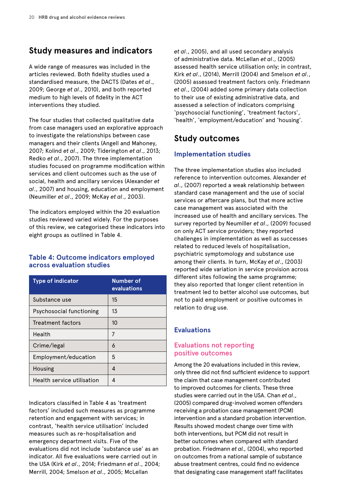### **Study measures and indicators**

A wide range of measures was included in the articles reviewed. Both fidelity studies used a standardised measure, the DACTS (Dates *et al*., 2009; George *et al*., 2010), and both reported medium to high levels of fidelity in the ACT interventions they studied.

The four studies that collected qualitative data from case managers used an explorative approach to investigate the relationships between case managers and their clients (Angell and Mahoney, 2007; Kolind *et al*., 2009; Tiderington *et al*., 2013; Redko *et al*., 2007). The three implementation studies focused on programme modification within services and client outcomes such as the use of social, health and ancillary services (Alexander *et al*., 2007) and housing, education and employment (Neumiller *et al*., 2009; McKay *et al*., 2003).

The indicators employed within the 20 evaluation studies reviewed varied widely. For the purposes of this review, we categorised these indicators into eight groups as outlined in Table 4.

#### **Table 4: Outcome indicators employed across evaluation studies**

| <b>Type of indicator</b>   | <b>Number</b> of<br>evaluations |
|----------------------------|---------------------------------|
| Substance use              | 15                              |
| Psychosocial functioning   | 13                              |
| Treatment factors          | 10                              |
| Health                     | 7                               |
| Crime/legal                | 6                               |
| Employment/education       | 5                               |
| Housing                    | 4                               |
| Health service utilisation |                                 |

Indicators classified in Table 4 as 'treatment factors' included such measures as programme retention and engagement with services; in contrast, 'health service utilisation' included measures such as re-hospitalisation and emergency department visits. Five of the evaluations did not include 'substance use' as an indicator. All five evaluations were carried out in the USA (Kirk *et al*., 2014; Friedmann *et al*., 2004; Merrill, 2004; Smelson *et al*., 2005; McLellan

*et al*., 2005), and all used secondary analysis of administrative data. McLellan *et al*., (2005) assessed health service utilisation only; in contrast, Kirk *et al*., (2014), Merrill (2004) and Smelson *et al*., (2005) assessed treatment factors only. Friedmann *et al*., (2004) added some primary data collection to their use of existing administrative data, and assessed a selection of indicators comprising 'psychosocial functioning', 'treatment factors', 'health', 'employment/education' and 'housing'.

### **Study outcomes**

#### **Implementation studies**

The three implementation studies also included reference to intervention outcomes. Alexander *et al*., (2007) reported a weak relationship between standard case management and the use of social services or aftercare plans, but that more active case management was associated with the increased use of health and ancillary services. The survey reported by Neumiller *et al*., (2009) focused on only ACT service providers; they reported challenges in implementation as well as successes related to reduced levels of hospitalisation, psychiatric symptomology and substance use among their clients. In turn, McKay *et al*., (2003) reported wide variation in service provision across different sites following the same programme; they also reported that longer client retention in treatment led to better alcohol use outcomes, but not to paid employment or positive outcomes in relation to drug use.

#### **Evaluations**

#### Evaluations not reporting positive outcomes

Among the 20 evaluations included in this review, only three did not find sufficient evidence to support the claim that case management contributed to improved outcomes for clients. These three studies were carried out in the USA. Chan *et al*., (2005) compared drug-involved women offenders receiving a probation case management (PCM) intervention and a standard probation intervention. Results showed modest change over time with both interventions, but PCM did not result in better outcomes when compared with standard probation. Friedmann *et al.,* (2004), who reported on outcomes from a national sample of substance abuse treatment centres, could find no evidence that designating case management staff facilitates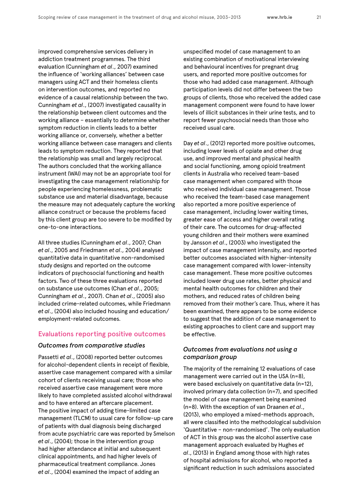improved comprehensive services delivery in addiction treatment programmes. The third evaluation (Cunningham *et al*., 2007) examined the influence of 'working alliances' between case managers using ACT and their homeless clients on intervention outcomes, and reported no evidence of a causal relationship between the two. Cunningham *et al*., (2007) investigated causality in the relationship between client outcomes and the working alliance – essentially to determine whether symptom reduction in clients leads to a better working alliance or, conversely, whether a better working alliance between case managers and clients leads to symptom reduction. They reported that the relationship was small and largely reciprocal. The authors concluded that the working alliance instrument (WAI) may not be an appropriate tool for investigating the case management relationship for people experiencing homelessness, problematic substance use and material disadvantage, because the measure may not adequately capture the working alliance construct or because the problems faced by this client group are too severe to be modified by one-to-one interactions.

All three studies (Cunningham *et al*., 2007; Chan *et al*., 2005 and Friedmann *et al*., 2004) analysed quantitative data in quantitative non-randomised study designs and reported on the outcome indicators of psychosocial functioning and health factors. Two of these three evaluations reported on substance use outcomes (Chan *et al*., 2005; Cunningham *et al*., 2007). Chan *et al*., (2005) also included crime-related outcomes, while Friedmann *et al*., (2004) also included housing and education/ employment-related outcomes.

#### Evaluations reporting positive outcomes

#### *Outcomes from comparative studies*

Passetti *et al*., (2008) reported better outcomes for alcohol-dependent clients in receipt of flexible, assertive case management compared with a similar cohort of clients receiving usual care; those who received assertive case management were more likely to have completed assisted alcohol withdrawal and to have entered an aftercare placement. The positive impact of adding time-limited case management (TLCM) to usual care for follow-up care of patients with dual diagnosis being discharged from acute psychiatric care was reported by Smelson *et al*., (2004); those in the intervention group had higher attendance at initial and subsequent clinical appointments, and had higher levels of pharmaceutical treatment compliance. Jones *et al*., (2004) examined the impact of adding an

unspecified model of case management to an existing combination of motivational interviewing and behavioural incentives for pregnant drug users, and reported more positive outcomes for those who had added case management. Although participation levels did not differ between the two groups of clients, those who received the added case management component were found to have lower levels of illicit substances in their urine tests, and to report fewer psychosocial needs than those who received usual care.

Day *et al*., (2012) reported more positive outcomes, including lower levels of opiate and other drug use, and improved mental and physical health and social functioning, among opioid treatment clients in Australia who received team-based case management when compared with those who received individual case management. Those who received the team-based case management also reported a more positive experience of case management, including lower waiting times, greater ease of access and higher overall rating of their care. The outcomes for drug-affected young children and their mothers were examined by Jansson *et al*., (2003) who investigated the impact of case management intensity, and reported better outcomes associated with higher-intensity case management compared with lower-intensity case management. These more positive outcomes included lower drug use rates, better physical and mental health outcomes for children and their mothers, and reduced rates of children being removed from their mother's care. Thus, where it has been examined, there appears to be some evidence to suggest that the addition of case management to existing approaches to client care and support may be effective.

#### *Outcomes from evaluations not using a comparison group*

The majority of the remaining 12 evaluations of case management were carried out in the USA (n=8), were based exclusively on quantitative data (n=12), involved primary data collection (n=7), and specified the model of case management being examined (n=8). With the exception of van Draanen *et al*., (2013), who employed a mixed-methods approach, all were classified into the methodological subdivision 'Quantitative – non-randomised'. The only evaluation of ACT in this group was the alcohol assertive case management approach evaluated by Hughes *et al*., (2013) in England among those with high rates of hospital admissions for alcohol, who reported a significant reduction in such admissions associated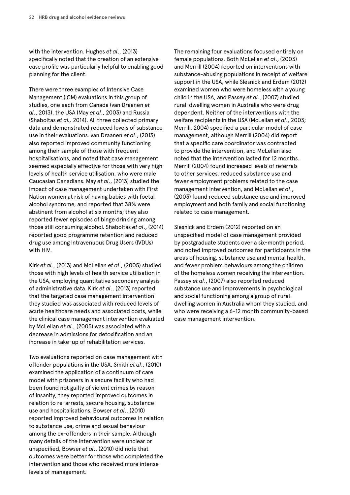with the intervention. Hughes *et al*., (2013) specifically noted that the creation of an extensive case profile was particularly helpful to enabling good planning for the client.

There were three examples of Intensive Case Management (ICM) evaluations in this group of studies, one each from Canada (van Draanen *et al*., 2013), the USA (May *et al*., 2003) and Russia (Shaboltas *et al.,* 2014). All three collected primary data and demonstrated reduced levels of substance use in their evaluations. van Draanen *et al*., (2013) also reported improved community functioning among their sample of those with frequent hospitalisations, and noted that case management seemed especially effective for those with very high levels of health service utilisation, who were male Caucasian Canadians. May *et al*., (2013) studied the impact of case management undertaken with First Nation women at risk of having babies with foetal alcohol syndrome, and reported that 38% were abstinent from alcohol at six months; they also reported fewer episodes of binge drinking among those still consuming alcohol. Shaboltas *et al*., (2014) reported good programme retention and reduced drug use among Intravenuous Drug Users (IVDUs) with HIV.

Kirk *et al*., (2013) and McLellan *et al*., (2005) studied those with high levels of health service utilisation in the USA, employing quantitative secondary analysis of administrative data. Kirk *et al*., (2013) reported that the targeted case management intervention they studied was associated with reduced levels of acute healthcare needs and associated costs, while the clinical case management intervention evaluated by McLellan *et al*., (2005) was associated with a decrease in admissions for detoxification and an increase in take-up of rehabilitation services.

Two evaluations reported on case management with offender populations in the USA. Smith *et al*., (2010) examined the application of a continuum of care model with prisoners in a secure facility who had been found not guilty of violent crimes by reason of insanity; they reported improved outcomes in relation to re-arrests, secure housing, substance use and hospitalisations. Bowser *et al*., (2010) reported improved behavioural outcomes in relation to substance use, crime and sexual behaviour among the ex-offenders in their sample. Although many details of the intervention were unclear or unspecified, Bowser *et al*., (2010) did note that outcomes were better for those who completed the intervention and those who received more intense levels of management.

The remaining four evaluations focused entirely on female populations. Both McLellan *et al*., (2003) and Merrill (2004) reported on interventions with substance-abusing populations in receipt of welfare support in the USA, while Slesnick and Erdem (2012) examined women who were homeless with a young child in the USA, and Passey *et al*., (2007) studied rural-dwelling women in Australia who were drug dependent. Neither of the interventions with the welfare recipients in the USA (McLellan *et al*., 2003; Merrill, 2004) specified a particular model of case management, although Merrill (2004) did report that a specific care coordinator was contracted to provide the intervention, and McLellan also noted that the intervention lasted for 12 months. Merrill (2004) found increased levels of referrals to other services, reduced substance use and fewer employment problems related to the case management intervention, and McLellan *et al*., (2003) found reduced substance use and improved employment and both family and social functioning related to case management.

Slesnick and Erdem (2012) reported on an unspecified model of case management provided by postgraduate students over a six-month period, and noted improved outcomes for participants in the areas of housing, substance use and mental health, and fewer problem behaviours among the children of the homeless women receiving the intervention. Passey *et al*., (2007) also reported reduced substance use and improvements in psychological and social functioning among a group of ruraldwelling women in Australia whom they studied, and who were receiving a 6-12 month community-based case management intervention.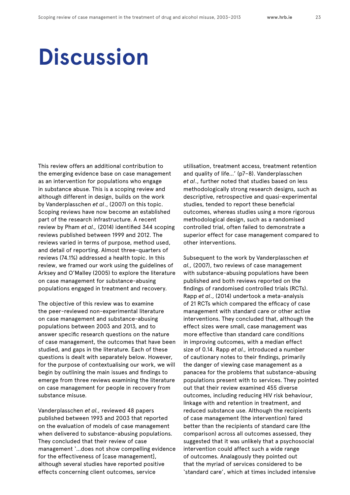# **Discussion**

This review offers an additional contribution to the emerging evidence base on case management as an intervention for populations who engage in substance abuse. This is a scoping review and although different in design, builds on the work by Vanderplasschen *et al*., (2007) on this topic. Scoping reviews have now become an established part of the research infrastructure. A recent review by Pham *et al.,* (2014) identified 344 scoping reviews published between 1999 and 2012. The reviews varied in terms of purpose, method used, and detail of reporting. Almost three-quarters of reviews (74.1%) addressed a health topic. In this review, we framed our work using the guidelines of Arksey and O'Malley (2005) to explore the literature on case management for substance-abusing populations engaged in treatment and recovery.

The objective of this review was to examine the peer-reviewed non-experimental literature on case management and substance-abusing populations between 2003 and 2013, and to answer specific research questions on the nature of case management, the outcomes that have been studied, and gaps in the literature. Each of these questions is dealt with separately below. However, for the purpose of contextualising our work, we will begin by outlining the main issues and findings to emerge from three reviews examining the literature on case management for people in recovery from substance misuse.

Vanderplasschen *et al.,* reviewed 48 papers published between 1993 and 2003 that reported on the evaluation of models of case management when delivered to substance-abusing populations. They concluded that their review of case management '…does not show compelling evidence for the effectiveness of [case management], although several studies have reported positive effects concerning client outcomes, service

utilisation, treatment access, treatment retention and quality of life…' (p7–8). Vanderplasschen *et al*., further noted that studies based on less methodologically strong research designs, such as descriptive, retrospective and quasi-experimental studies, tended to report these beneficial outcomes, whereas studies using a more rigorous methodological design, such as a randomised controlled trial, often failed to demonstrate a superior effect for case management compared to other interventions.

Subsequent to the work by Vanderplasschen *et al.,* (2007), two reviews of case management with substance-abusing populations have been published and both reviews reported on the findings of randomised controlled trials (RCTs). Rapp *et al*., (2014) undertook a meta-analysis of 21 RCTs which compared the efficacy of case management with standard care or other active interventions. They concluded that, although the effect sizes were small, case management was more effective than standard care conditions in improving outcomes, with a median effect size of 0.14. Rapp *et al.,* introduced a number of cautionary notes to their findings, primarily the danger of viewing case management as a panacea for the problems that substance-abusing populations present with to services. They pointed out that their review examined 455 diverse outcomes, including reducing HIV risk behaviour, linkage with and retention in treatment, and reduced substance use. Although the recipients of case management (the intervention) fared better than the recipients of standard care (the comparison) across all outcomes assessed, they suggested that it was unlikely that a psychosocial intervention could affect such a wide range of outcomes. Analagously they pointed out that the myriad of services considered to be 'standard care', which at times included intensive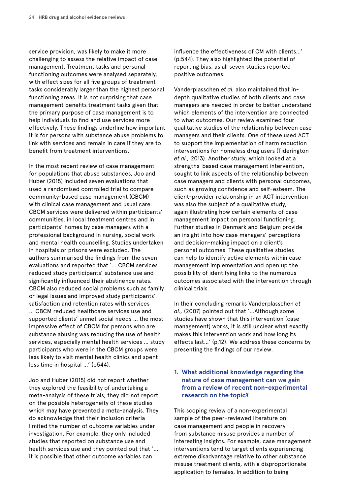service provision, was likely to make it more challenging to assess the relative impact of case management. Treatment tasks and personal functioning outcomes were analysed separately, with effect sizes for all five groups of treatment tasks considerably larger than the highest personal functioning areas. It is not surprising that case management benefits treatment tasks given that the primary purpose of case management is to help individuals to find and use services more effectively. These findings underline how important it is for persons with substance abuse problems to link with services and remain in care if they are to benefit from treatment interventions.

In the most recent review of case management for populations that abuse substances, Joo and Huber (2015) included seven evaluations that used a randomised controlled trial to compare community-based case management (CBCM) with clinical case management and usual care. CBCM services were delivered within participants' communities, in local treatment centres and in participants' homes by case managers with a professional background in nursing, social work and mental health counselling. Studies undertaken in hospitals or prisons were excluded. The authors summarised the findings from the seven evaluations and reported that '… CBCM services reduced study participants' substance use and significantly influenced their abstinence rates. CBCM also reduced social problems such as family or legal issues and improved study participants' satisfaction and retention rates with services … CBCM reduced healthcare services use and supported clients' unmet social needs … the most impressive effect of CBCM for persons who are substance abusing was reducing the use of health services, especially mental health services … study participants who were in the CBCM groups were less likely to visit mental health clinics and spent less time in hospital …' (p544).

Joo and Huber (2015) did not report whether they explored the feasibility of undertaking a meta-analysis of these trials; they did not report on the possible heterogeneity of these studies which may have prevented a meta-analysis. They do acknowledge that their inclusion criteria limited the number of outcome variables under investigation. For example, they only included studies that reported on substance use and health services use and they pointed out that '… it is possible that other outcome variables can

influence the effectiveness of CM with clients…' (p.544). They also highlighted the potential of reporting bias, as all seven studies reported positive outcomes.

Vanderplasschen *et al.* also maintained that indepth qualitative studies of both clients and case managers are needed in order to better understand which elements of the intervention are connected to what outcomes. Our review examined four qualitative studies of the relationship between case managers and their clients. One of these used ACT to support the implementation of harm reduction interventions for homeless drug users (Tiderington *et al.,* 2013). Another study, which looked at a strengths-based case management intervention, sought to link aspects of the relationship between case managers and clients with personal outcomes, such as growing confidence and self-esteem. The client-provider relationship in an ACT intervention was also the subject of a qualitative study, again illustrating how certain elements of case management impact on personal functioning. Further studies in Denmark and Belgium provide an insight into how case managers' perceptions and decision-making impact on a client's personal outcomes. These qualitative studies can help to identify active elements within case management implementation and open up the possibility of identifying links to the numerous outcomes associated with the intervention through clinical trials.

In their concluding remarks Vanderplasschen *et al.,* (2007) pointed out that '…Although some studies have shown that this intervention [case management] works, it is still unclear what exactly makes this intervention work and how long its effects last…' (p.12). We address these concerns by presenting the findings of our review.

#### **1. What additional knowledge regarding the nature of case management can we gain from a review of recent non-experimental research on the topic?**

This scoping review of a non-experimental sample of the peer-reviewed literature on case management and people in recovery from substance misuse provides a number of interesting insights. For example, case management interventions tend to target clients experiencing extreme disadvantage relative to other substance misuse treatment clients, with a disproportionate application to females. In addition to being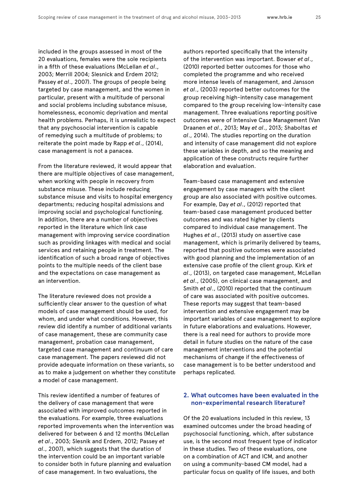included in the groups assessed in most of the 20 evaluations, females were the sole recipients in a fifth of these evaluations (McLellan *et al*., 2003; Merrill 2004; Slesnick and Erdem 2012; Passey *et al*., 2007). The groups of people being targeted by case management, and the women in particular, present with a multitude of personal and social problems including substance misuse, homelessness, economic deprivation and mental health problems. Perhaps, it is unrealistic to expect that any psychosocial intervention is capable of remedying such a multitude of problems; to reiterate the point made by Rapp *et al*., (2014), case management is not a panacea.

From the literature reviewed, it would appear that there are multiple objectives of case management, when working with people in recovery from substance misuse. These include reducing substance misuse and visits to hospital emergency departments; reducing hospital admissions and improving social and psychological functioning. In addition, there are a number of objectives reported in the literature which link case management with improving service coordination such as providing linkages with medical and social services and retaining people in treatment. The identification of such a broad range of objectives points to the multiple needs of the client base and the expectations on case management as an intervention.

The literature reviewed does not provide a sufficiently clear answer to the question of what models of case management should be used, for whom, and under what conditions. However, this review did identify a number of additional variants of case management, these are community case management, probation case management, targeted case management and continuum of care case management. The papers reviewed did not provide adequate information on these variants, so as to make a judgement on whether they constitute a model of case management.

This review identified a number of features of the delivery of case management that were associated with improved outcomes reported in the evaluations. For example, three evaluations reported improvements when the intervention was delivered for between 6 and 12 months (McLellan *et al*., 2003; Slesnik and Erdem, 2012; Passey *et al*., 2007), which suggests that the duration of the intervention could be an important variable to consider both in future planning and evaluation of case management. In two evaluations, the

authors reported specifically that the intensity of the intervention was important. Bowser *et al*., (2010) reported better outcomes for those who completed the programme and who received more intense levels of management, and Jansson *et al*., (2003) reported better outcomes for the group receiving high-intensity case management compared to the group receiving low-intensity case management. Three evaluations reporting positive outcomes were of Intensive Case Management (Van Draanen *et al*., 2013; May *et al*., 2013; Shaboltas *et al*., 2014). The studies reporting on the duration and intensity of case management did not explore these variables in depth, and so the meaning and application of these constructs require further elaboration and evaluation.

Team-based case management and extensive engagement by case managers with the client group are also associated with positive outcomes. For example, Day *et al*., (2012) reported that team-based case management produced better outcomes and was rated higher by clients compared to individual case management. The Hughes *et al*., (2013) study on assertive case management, which is primarily delivered by teams, reported that positive outcomes were associated with good planning and the implementation of an extensive case profile of the client group. Kirk *et al*., (2013), on targeted case management, McLellan *et al*., (2005), on clinical case management, and Smith *et al*., (2010) reported that the continuum of care was associated with positive outcomes. These reports may suggest that team-based intervention and extensive engagement may be important variables of case management to explore in future elaborations and evaluations. However, there is a real need for authors to provide more detail in future studies on the nature of the case management interventions and the potential mechanisms of change if the effectiveness of case management is to be better understood and perhaps replicated.

#### **2. What outcomes have been evaluated in the non-experimental research literature?**

Of the 20 evaluations included in this review, 13 examined outcomes under the broad heading of psychosocial functioning, which, after substance use, is the second most frequent type of indicator in these studies. Two of these evaluations, one on a combination of ACT and ICM, and another on using a community-based CM model, had a particular focus on quality of life issues, and both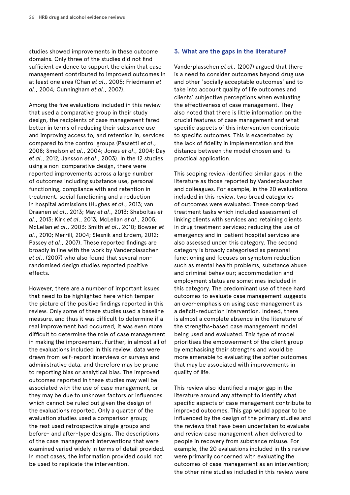studies showed improvements in these outcome domains. Only three of the studies did not find sufficient evidence to support the claim that case management contributed to improved outcomes in at least one area (Chan *et al*., 2005; Friedmann *et al*., 2004; Cunningham *et al*., 2007).

Among the five evaluations included in this review that used a comparative group in their study design, the recipients of case management fared better in terms of reducing their substance use and improving access to, and retention in, services compared to the control groups (Passetti *et al*., 2008; Smelson *et al*., 2004; Jones *et al*., 2004; Day *et al*., 2012; Jansson *et al*., 2003). In the 12 studies using a non-comparative design, there were reported improvements across a large number of outcomes including substance use, personal functioning, compliance with and retention in treatment, social functioning and a reduction in hospital admissions (Hughes *et al*., 2013; van Draanen *et al*., 2013; May *et al*., 2013; Shaboltas *et al*., 2013; Kirk *et al*., 2013; McLellan *et al*., 2005; McLellan *et al*., 2003: Smith *et al*., 2010; Bowser *et al*., 2010; Merrill, 2004; Slesnik and Erdem, 2012; Passey *et al*., 2007). These reported findings are broadly in line with the work by Vanderplasschen *et al*., (2007) who also found that several nonrandomised design studies reported positive effects.

However, there are a number of important issues that need to be highlighted here which temper the picture of the positive findings reported in this review. Only some of these studies used a baseline measure, and thus it was difficult to determine if a real improvement had occurred; it was even more difficult to determine the role of case management in making the improvement. Further, in almost all of the evaluations included in this review, data were drawn from self-report interviews or surveys and administrative data, and therefore may be prone to reporting bias or analytical bias. The improved outcomes reported in these studies may well be associated with the use of case management, or they may be due to unknown factors or influences which cannot be ruled out given the design of the evaluations reported. Only a quarter of the evaluation studies used a comparison group; the rest used retrospective single groups and before- and after-type designs. The descriptions of the case management interventions that were examined varied widely in terms of detail provided. In most cases, the information provided could not be used to replicate the intervention.

#### **3. What are the gaps in the literature?**

Vanderplasschen *et al.,* (2007) argued that there is a need to consider outcomes beyond drug use and other 'socially acceptable outcomes' and to take into account quality of life outcomes and clients' subjective perceptions when evaluating the effectiveness of case management. They also noted that there is little information on the crucial features of case management and what specific aspects of this intervention contribute to specific outcomes. This is exacerbated by the lack of fidelity in implementation and the distance between the model chosen and its practical application.

This scoping review identified similar gaps in the literature as those reported by Vanderplasschen and colleagues. For example, in the 20 evaluations included in this review, two broad categories of outcomes were evaluated. These comprised treatment tasks which included assessment of linking clients with services and retaining clients in drug treatment services; reducing the use of emergency and in-patient hospital services are also assessed under this category. The second category is broadly categorised as personal functioning and focuses on symptom reduction such as mental health problems, substance abuse and criminal behaviour; accommodation and employment status are sometimes included in this category. The predominant use of these hard outcomes to evaluate case management suggests an over-emphasis on using case management as a deficit-reduction intervention. Indeed, there is almost a complete absence in the literature of the strengths-based case management model being used and evaluated. This type of model prioritises the empowerment of the client group by emphasising their strengths and would be more amenable to evaluating the softer outcomes that may be associated with improvements in quality of life.

This review also identified a major gap in the literature around any attempt to identify what specific aspects of case management contribute to improved outcomes. This gap would appear to be influenced by the design of the primary studies and the reviews that have been undertaken to evaluate and review case management when delivered to people in recovery from substance misuse. For example, the 20 evaluations included in this review were primarily concerned with evaluating the outcomes of case management as an intervention; the other nine studies included in this review were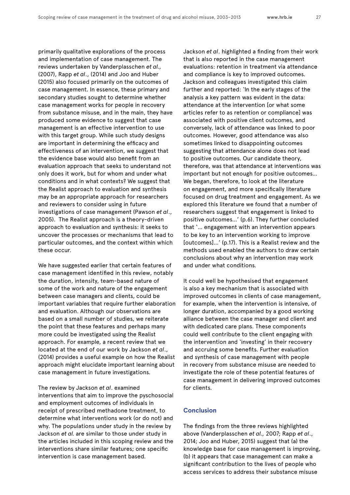primarily qualitative explorations of the process and implementation of case management. The reviews undertaken by Vanderplasschen *et al.,* (2007), Rapp *et al*., (2014) and Joo and Huber (2015) also focused primarily on the outcomes of case management. In essence, these primary and secondary studies sought to determine whether case management works for people in recovery from substance misuse, and in the main, they have produced some evidence to suggest that case management is an effective intervention to use with this target group. While such study designs are important in determining the efficacy and effectiveness of an intervention, we suggest that the evidence base would also benefit from an evaluation approach that seeks to understand not only does it work, but for whom and under what conditions and in what contexts? We suggest that the Realist approach to evaluation and synthesis may be an appropriate approach for researchers and reviewers to consider using in future investigations of case management (Pawson *et al*., 2005). The Realist approach is a theory-driven approach to evaluation and synthesis: it seeks to uncover the processes or mechanisms that lead to particular outcomes, and the context within which these occur.

We have suggested earlier that certain features of case management identified in this review, notably the duration, intensity, team-based nature of some of the work and nature of the engagement between case managers and clients, could be important variables that require further elaboration and evaluation. Although our observations are based on a small number of studies, we reiterate the point that these features and perhaps many more could be investigated using the Realist approach. For example, a recent review that we located at the end of our work by Jackson *et al*., (2014) provides a useful example on how the Realist approach might elucidate important learning about case management in future investigations.

The review by Jackson *et al*. examined interventions that aim to improve the pyschosocial and employment outcomes of individuals in receipt of prescribed methadone treatment, to determine what interventions work (or do not) and why. The populations under study in the review by Jackson *et al.* are similar to those under study in the articles included in this scoping review and the interventions share similar features; one specific intervention is case management based.

Jackson *et al*. highlighted a finding from their work that is also reported in the case management evaluations: retention in treatment via attendance and compliance is key to improved outcomes. Jackson and colleagues investigated this claim further and reported: 'In the early stages of the analysis a key pattern was evident in the data: attendance at the intervention [or what some articles refer to as retention or compliance] was associated with positive client outcomes, and conversely, lack of attendance was linked to poor outcomes. However, good attendance was also sometimes linked to disappointing outcomes suggesting that attendance alone does not lead to positive outcomes. Our candidate theory, therefore, was that attendance at interventions was important but not enough for positive outcomes… We began, therefore, to look at the literature on engagement, and more specifically literature focused on drug treatment and engagement. As we explored this literature we found that a number of researchers suggest that engagement is linked to positive outcomes…' (p.6). They further concluded that '… engagement with an intervention appears to be key to an intervention working to improve [outcomes]…' (p.17). This is a Realist review and the methods used enabled the authors to draw certain conclusions about why an intervention may work and under what conditions.

It could well be hypothesised that engagement is also a key mechanism that is associated with improved outcomes in clients of case management, for example, when the intervention is intensive, of longer duration, accompanied by a good working alliance between the case manager and client and with dedicated care plans. These components could well contribute to the client engaging with the intervention and 'investing' in their recovery and accruing some benefits. Further evaluation and synthesis of case management with people in recovery from substance misuse are needed to investigate the role of these potential features of case management in delivering improved outcomes for clients.

#### **Conclusion**

The findings from the three reviews highlighted above (Vanderplasschen *et al.,* 2007; Rapp *et al*., 2014; Joo and Huber, 2015) suggest that (a) the knowledge base for case management is improving, (b) it appears that case management can make a significant contribution to the lives of people who access services to address their substance misuse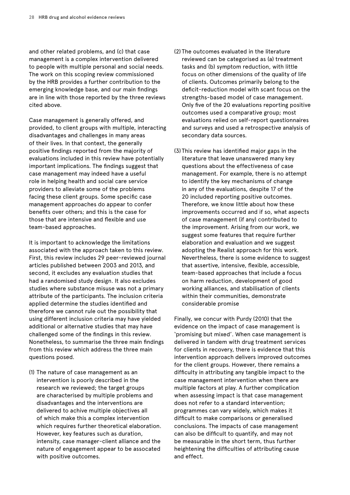and other related problems, and (c) that case management is a complex intervention delivered to people with multiple personal and social needs. The work on this scoping review commissioned by the HRB provides a further contribution to the emerging knowledge base, and our main findings are in line with those reported by the three reviews cited above.

Case management is generally offered, and provided, to client groups with multiple, interacting disadvantages and challenges in many areas of their lives. In that context, the generally positive findings reported from the majority of evaluations included in this review have potentially important implications. The findings suggest that case management may indeed have a useful role in helping health and social care service providers to alleviate some of the problems facing these client groups. Some specific case management approaches do appear to confer benefits over others; and this is the case for those that are intensive and flexible and use team-based approaches.

It is important to acknowledge the limitations associated with the approach taken to this review. First, this review includes 29 peer-reviewed journal articles published between 2003 and 2013, and second, it excludes any evaluation studies that had a randomised study design. It also excludes studies where substance misuse was not a primary attribute of the participants. The inclusion criteria applied determine the studies identified and therefore we cannot rule out the possibility that using different inclusion criteria may have yielded additional or alternative studies that may have challenged some of the findings in this review. Nonetheless, to summarise the three main findings from this review which address the three main questions posed.

(1) The nature of case management as an intervention is poorly described in the research we reviewed; the target groups are characterised by multiple problems and disadvantages and the interventions are delivered to achive multiple objectives all of which make this a complex intervention which requires further theoretical elaboration. However, key features such as duration, intensity, case manager-client alliance and the nature of engagement appear to be assocated with positive outcomes.

- (2) The outcomes evaluated in the literature reviewed can be categorised as (a) treatment tasks and (b) symptom reduction, with little focus on other dimensions of the quality of life of clients. Outcomes primarily belong to the deficit-reduction model with scant focus on the strengths-based model of case management. Only five of the 20 evaluations reporting positive outcomes used a comparative group; most evaluations relied on self-report questionnaires and surveys and used a retrospective analysis of secondary data sources.
- (3) This review has identified major gaps in the literature that leave unanswered many key questions about the effectiveness of case management. For example, there is no attempt to identify the key mechanisms of change in any of the evaluations, despite 17 of the 20 included reporting positive outcomes. Therefore, we know little about how these improvements occurred and if so, what aspects of case management (if any) contributed to the improvement. Arising from our work, we suggest some features that require further elaboration and evaluation and we suggest adopting the Realist approach for this work. Nevertheless, there is some evidence to suggest that assertive, intensive, flexible, accessible, team-based approaches that include a focus on harm reduction, development of good working alliances, and stabilisation of clients within their communities, demonstrate considerable promise

Finally, we concur with Purdy (2010) that the evidence on the impact of case management is 'promising but mixed'. When case management is delivered in tandem with drug treatment services for clients in recovery, there is evidence that this intervention approach delivers improved outcomes for the client groups. However, there remains a difficulty in attributing any tangible impact to the case management intervention when there are multiple factors at play. A further complication when assessing impact is that case management does not refer to a standard intervention; programmes can vary widely, which makes it difficult to make comparisons or generalised conclusions. The impacts of case management can also be difficult to quantify, and may not be measurable in the short term, thus further heightening the difficulties of attributing cause and effect.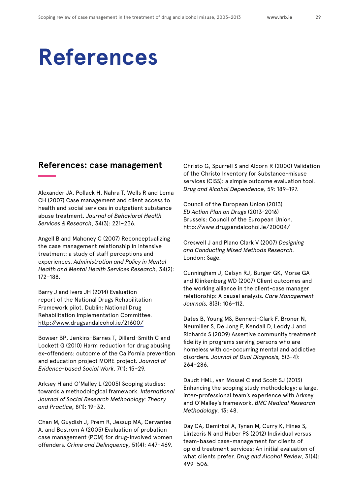## **References**

### **References: case management**

Alexander JA, Pollack H, Nahra T, Wells R and Lema CH (2007) Case management and client access to health and social services in outpatient substance abuse treatment. *Journal of Behavioral Health Services & Research*, 34(3): 221–236.

Angell B and Mahoney C (2007) Reconceptualizing the case management relationship in intensive treatment: a study of staff perceptions and experiences. *Administration and Policy in Mental Health and Mental Health Services Research,* 34(2): 172–188.

Barry J and Ivers JH (2014) Evaluation report of the National Drugs Rehabilitation Framework pilot. Dublin: National Drug Rehabilitation Implementation Committee. http://www.drugsandalcohol.ie/21600/

Bowser BP, Jenkins-Barnes T, Dillard-Smith C and Lockett G (2010) Harm reduction for drug abusing ex-offenders: outcome of the California prevention and education project MORE project. *Journal of Evidence-based Social Work,* 7(1): 15–29.

Arksey H and O'Malley L (2005) Scoping studies: towards a methodological framework. *International Journal of Social Research Methodology: Theory and Practice,* 8(1): 19–32.

Chan M, Guydish J, Prem R, Jessup MA, Cervantes A, and Bostrom A (2005) Evaluation of probation case management (PCM) for drug-involved women offenders. *Crime and Delinquency,* 51(4): 447–469. Christo G, Spurrell S and Alcorn R (2000) Validation of the Christo Inventory for Substance-misuse services (CISS): a simple outcome evaluation tool. *Drug and Alcohol Dependence,* 59*:* 189–197.

Council of the European Union (2013) *EU Action Plan on Drugs* (2013-2016) Brussels: Council of the European Union. http://www.drugsandalcohol.ie/20004/

Creswell J and Plano Clark V (2007) *Designing and Conducting Mixed Methods Research.* London: Sage.

Cunningham J, Calsyn RJ, Burger GK, Morse GA and Klinkenberg WD (2007) Client outcomes and the working alliance in the client-case manager relationship: A causal analysis. *Care Management Journals,* 8(3): 106–112.

Dates B, Young MS, Bennett-Clark F, Broner N, Neumiller S, De Jong F, Kendall D, Leddy J and Richards S (2009) Assertive community treatment fidelity in programs serving persons who are homeless with co-occurring mental and addictive disorders*. Journal of Dual Diagnosis,* 5(3-4): 264–286.

Daudt HML, van Mossel C and Scott SJ (2013) Enhancing the scoping study methodology: a large, inter-professional team's experience with Arksey and O'Malley's framework. *BMC Medical Research Methodology,* 13: 48.

Day CA, Demirkol A, Tynan M, Curry K, Hines S, Lintzeris N and Haber PS (2012) Individual versus team-based case-management for clients of opioid treatment services: An initial evaluation of what clients prefer. *Drug and Alcohol Review,* 31(4): 499–506.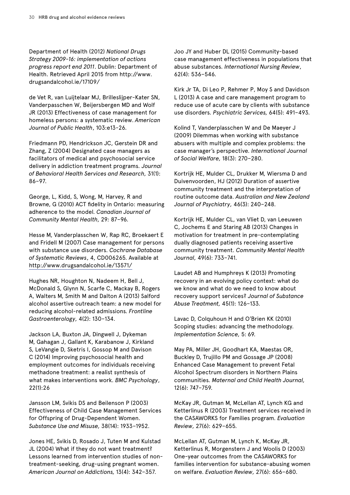Department of Health (2012) *National Drugs Strategy 2009-16: implementation of actions progress report end 2011*. Dublin: Department of Health. Retrieved April 2015 from http://www. drugsandalcohol.ie/17109/

de Vet R, van Luijtelaar MJ, Brilleslijper-Kater SN, Vanderpasschen W, Beijersbergen MD and Wolf JR (2013) Effectiveness of case management for homeless persons: a systematic review. *American Journal of Public Health*, 103:e13-26.

Friedmann PD, Hendrickson JC, Gerstein DR and Zhang, Z (2004) Designated case managers as facilitators of medical and psychosocial service delivery in addiction treatment programs. *Journal of Behavioral Health Services and Research,* 31(1): 86–97.

George, L, Kidd, S, Wong, M, Harvey, R and Browne, G (2010) ACT fidelity in Ontario: measuring adherence to the model. *Canadian Journal of Community Mental Health,* 29*:* 87–96.

Hesse M, Vanderplasschen W, Rap RC, Broekaert E and Fridell M (2007) Case management for persons with substance use disorders. *Cochrane Database of Systematic Reviews*, 4, CD006265. Available at http://www.drugsandalcohol.ie/13571/

Hughes NR, Houghton N, Nadeem H, Bell J, McDonald S, Glynn N, Scarfe C, Mackay B, Rogers A, Walters M, Smith M and Dalton A (2013) Salford alcohol assertive outreach team: a new model for reducing alcohol-related admissions*. Frontline Gastroenterology,* 4(2): 130–134.

Jackson LA, Buxton JA, Dingwell J, Dykeman M, Gahagan J, Gallant K, Karabanow J, Kirkland S, LeVangie D, Sketris I, Gossop M and Davison C (2014) Improving psychosocial health and employment outcomes for individuals receiving methadone treatment: a realist synthesis of what makes interventions work. *BMC Psychology*, 22(1):26

Jansson LM, Svikis DS and Beilenson P (2003) Effectiveness of Child Case Management Services for Offspring of Drug-Dependent Women. *Substance Use and Misuse,* 38(14): 1933–1952.

Jones HE, Svikis D, Rosado J, Tuten M and Kulstad JL (2004) What if they do not want treatment? Lessons learned from intervention studies of nontreatment-seeking, drug-using pregnant women. *American Journal on Addictions,* 13(4): 342–357.

Joo JY and Huber DL (2015) Community-based case management effectiveness in populations that abuse substances. *International Nursing Review*, 62(4): 536–546.

Kirk Jr TA, Di Leo P, Rehmer P, Moy S and Davidson L (2013) A case and care management program to reduce use of acute care by clients with substance use disorders. *Psychiatric Services,* 64(5): 491–493.

Kolind T, Vanderplasschen W and De Maeyer J (2009) Dilemmas when working with substance abusers with multiple and complex problems: the case manager's perspective. *International Journal of Social Welfare,* 18(3): 270–280.

Kortrijk HE, Mulder CL, Drukker M, Wiersma D and Duivenvoorden, HJ (2012) Duration of assertive community treatment and the interpretation of routine outcome data. *Australian and New Zealand Journal of Psychiatry,* 46(3): 240–248.

Kortrijk HE, Mulder CL, van Vliet D, van Leeuwen C, Jochems E and Staring AB (2013) Changes in motivation for treatment in pre-contemplating dually diagnosed patients receiving assertive community treatment. *Community Mental Health Journal,* 49(6): 733–741.

Laudet AB and Humphreys K (2013) Promoting recovery in an evolving policy context: what do we know and what do we need to know about recovery support services? *Journal of Substance Abuse Treatment,* 45(1): 126–133.

Lavac D, Colquhoun H and O'Brien KK (2010) Scoping studies: advancing the methodology. *Implementation Science,* 5: 69.

May PA, Miller JH, Goodhart KA, Maestas OR, Buckley D, Trujillo PM and Gossage JP (2008) Enhanced Case Management to prevent Fetal Alcohol Spectrum disorders in Northern Plains communities. *Maternal and Child Health Journal,*  12(6): 747–759.

McKay JR, Gutman M, McLellan AT, Lynch KG and Ketterlinus R (2003) Treatment services received in the CASAWORKS for Families program. *Evaluation Review,* 27(6): 629–655.

McLellan AT, Gutman M, Lynch K, McKay JR, Ketterlinus R, Morgenstern J and Woolis D (2003) One-year outcomes from the CASAWORKS for families intervention for substance-abusing women on welfare. *Evaluation Review,* 27(6): 656–680.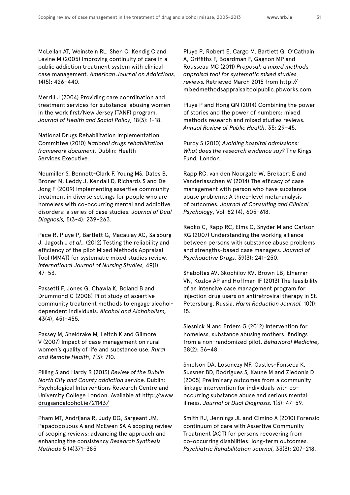McLellan AT, Weinstein RL, Shen Q, Kendig C and Levine M (2005) Improving continuity of care in a public addiction treatment system with clinical case management. *American Journal on Addictions,*  14(5): 426–440.

Merrill J (2004) Providing care coordination and treatment services for substance-abusing women in the work first/New Jersey (TANF) program. *Journal of Health and Social Policy,* 18(3): 1–18.

National Drugs Rehabilitation Implementation Committee (2010) *National drugs rehabilitation framework document*. Dublin: Health Services Executive.

Neumiller S, Bennett-Clark F, Young MS, Dates B, Broner N, Leddy J, Kendall D, Richards S and De Jong F (2009) Implementing assertive community treatment in diverse settings for people who are homeless with co-occurring mental and addictive disorders: a series of case studies. *Journal of Dual Diagnosis,* 5(3-4): 239–263.

Pace R, Pluye P, Bartlett G, Macaulay AC, Salsburg J, Jagosh J *et al.,* (2012) Testing the reliability and efficiency of the pilot Mixed Methods Appraisal Tool (MMAT) for systematic mixed studies review. *International Journal of Nursing Studies,* 49(1): 47–53.

Passetti F, Jones G, Chawla K, Boland B and Drummond C (2008) Pilot study of assertive community treatment methods to engage alcoholdependent individuals. *Alcohol and Alchoholism,* 43(4), 451–455.

Passey M, Sheldrake M, Leitch K and Gilmore V (2007) Impact of case management on rural women's quality of life and substance use. *Rural and Remote Health,* 7(3): 710.

Pilling S and Hardy R (2013) *Review of the Dublin North City and County addiction service.* Dublin: Psychological Interventions Research Centre and University College London. Available at http://www. drugsandalcohol.ie/21143/

Pham MT, Andrijana R, Judy DG, Sargeant JM, Papadopouous A and McEwen SA A scoping review of scoping reviews: advancing the approach and enhancing the consistency *Research Synthesis Methods* 5 (4)371–385

Pluye P, Robert E, Cargo M, Bartlett G, O'Cathain A, Griffiths F, Boardman F, Gagnon MP and Rousseau MC (2011) *Proposal: a mixed methods appraisal tool for systematic mixed studies reviews.* Retrieved March 2015 from http:// mixedmethodsappraisaltoolpublic.pbworks.com.

Pluye P and Hong QN (2014) Combining the power of stories and the power of numbers: mixed methods research and mixed studies reviews. *Annual Review of Public Health,* 35*:* 29–45.

Purdy S (2010) *Avoiding hospital admissions: What does the research evidence say?* The Kings Fund, London.

Rapp RC, van den Noorgate W, Brekaert E and Vanderlasschen W (2014) The efficacy of case management with person who have substance abuse problems: A three-level meta-analysis of outcomes. *Journal of Consulting and Clinical Psychology*, Vol. 82 (4), 605–618.

Redko C, Rapp RC, Elms C, Snyder M and Carlson RG (2007) Understanding the working alliance between persons with substance abuse problems and strengths-based case managers. *Journal of Psychoactive Drugs,* 39(3): 241–250.

Shaboltas AV, Skochilov RV, Brown LB, Elharrar VN, Kozlov AP and Hoffman IF (2013) The feasibility of an intensive case management program for injection drug users on antiretroviral therapy in St. Petersburg, Russia. *Harm Reduction Journal,* 10(1): 15.

Slesnick N and Erdem G (2012) Intervention for homeless, substance abusing mothers: findings from a non-randomized pilot. *Behavioral Medicine,*  38(2): 36–48.

Smelson DA, Losonczy MF, Castles-Fonseca K, Sussner BD, Rodrigues S, Kaune M and Ziedonis D (2005) Preliminary outcomes from a community linkage intervention for individuals with cooccurring substance abuse and serious mental illness. *Journal of Dual Diagnosis,* 1(3): 47–59.

Smith RJ, Jennings JL and Cimino A (2010) Forensic continuum of care with Assertive Community Treatment (ACT) for persons recovering from co-occurring disabilities: long-term outcomes. *Psychiatric Rehabilitation Journal,* 33(3): 207–218.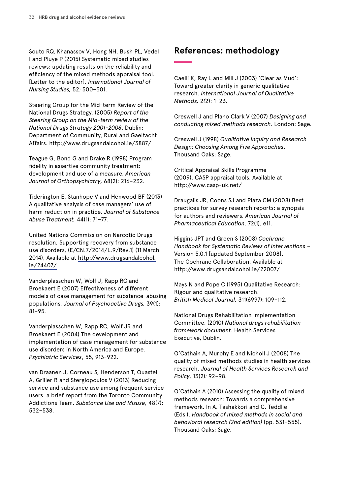Souto RQ, Khanassov V, Hong NH, Bush PL, Vedel I and Pluye P (2015) Systematic mixed studies reviews: updating results on the reliability and efficiency of the mixed methods appraisal tool. [Letter to the editor]. *International Journal of Nursing Studies,* 52*:* 500–501.

Steering Group for the Mid-term Review of the National Drugs Strategy. (2005) *Report of the Steering Group on the Mid-term review of the National Drugs Strategy 2001-2008*. Dublin: Department of Community, Rural and Gaeltacht Affairs. http://www.drugsandalcohol.ie/3887/

Teague G, Bond G and Drake R (1998) Program fidelity in assertive community treatment: development and use of a measure. *American Journal of Orthopsychiatry,* 68(2): 216–232.

Tiderington E, Stanhope V and Henwood BF (2013) A qualitative analysis of case managers' use of harm reduction in practice. *Journal of Substance Abuse Treatment,* 44(1): 71–77.

United Nations Commission on Narcotic Drugs resolution, Supporting recovery from substance use disorders, (E/CN.7/2014/L.9/Rev.1) (11 March 2014), Available at http://www.drugsandalcohol. ie/24407/

Vanderplasschen W, Wolf J, Rapp RC and Broekaert E (2007) Effectiveness of different models of case management for substance-abusing populations. *Journal of Psychoactive Drugs,* 39(1): 81–95.

Vanderplasschen W, Rapp RC, Wolf JR and Broekaert E (2004) The development and implementation of case management for substance use disorders in North America and Europe. *Psychiatric Services*, 55, 913-922.

van Draanen J, Corneau S, Henderson T, Quastel A, Griller R and Stergiopoulos V (2013) Reducing service and substance use among frequent service users: a brief report from the Toronto Community Addictions Team. *Substance Use and Misuse,* 48(7): 532–538.

### **References: methodology**

Caelli K, Ray L and Mill J (2003) 'Clear as Mud': Toward greater clarity in generic qualitative research. *International Journal of Qualitative Methods,* 2*(*2): 1–23.

Creswell J and Plano Clark V (2007) *Designing and conducting mixed methods research*. London: Sage.

Creswell J (1998) *Qualitative Inquiry and Research Design: Choosing Among Five Approaches*. Thousand Oaks: Sage.

Critical Appraisal Skills Programme (2009). CASP appraisal tools. Available at http://www.casp-uk.net/

Draugalis JR, Coons SJ and Plaza CM (2008) Best practices for survey research reports: a synopsis for authors and reviewers. *American Journal of Pharmaceutical Education,* 72(1)*,* e11.

Higgins JPT and Green S (2008) *Cochrane Handbook for Systematic Reviews of Interventions* – Version 5.0.1 [updated September 2008]. The Cochrane Collaboration. Available at http://www.drugsandalcohol.ie/22007/

Mays N and Pope C (1995) Qualitative Research: Rigour and qualitative research. *British Medical Journal,* 311(6997): 109–112.

National Drugs Rehabilitation Implementation Committee. (2010) *National drugs rehabilitation framework document*. Health Services Executive, Dublin.

O'Cathain A, Murphy E and Nicholl J (2008) The quality of mixed methods studies in health services research. *Journal of Health Services Research and Policy,* 13(2)*:* 92–98.

O'Cathain A (2010) Assessing the quality of mixed methods research: Towards a comprehensive framework. In A. Tashakkori and C. Teddlie (Eds.), *Handbook of mixed methods in social and behavioral research (2nd edition)* (pp. 531–555). Thousand Oaks: Sage.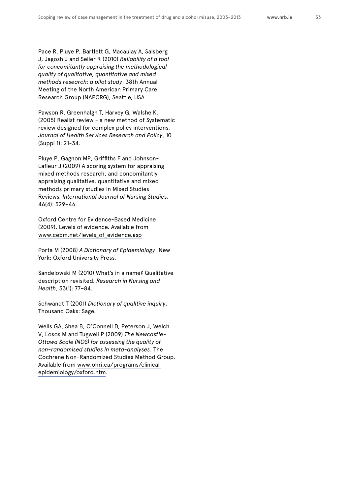Pace R, Pluye P, Bartlett G, Macaulay A, Salsberg J, Jagosh J and Seller R (2010) *Reliability of a tool for concomitantly appraising the methodological quality of qualitative, quantitative and mixed methods research: a pilot study*. 38th Annual Meeting of the North American Primary Care Research Group (NAPCRG), Seattle, USA.

Pawson R, Greenhalgh T, Harvey G, Walshe K. (2005) Realist review - a new method of Systematic review designed for complex policy interventions. *Journal of Health Services Research and Policy*, 10 (Suppl 1): 21-34.

Pluye P, Gagnon MP, Griffiths F and Johnson-Lafleur J (2009) A scoring system for appraising mixed methods research, and concomitantly appraising qualitative, quantitative and mixed methods primary studies in Mixed Studies Reviews. *International Journal of Nursing Studies,*  46(4): 529–46.

Oxford Centre for Evidence-Based Medicine (2009). Levels of evidence. Available from www.cebm.net/levels\_of\_evidence.asp

Porta M (2008) *A Dictionary of Epidemiology*. New York: Oxford University Press.

Sandelowski M (2010) What's in a name? Qualitative description revisited. *Research in Nursing and Health,* 33(1): 77–84.

Schwandt T (2001) *Dictionary of qualitive inquiry*. Thousand Oaks: Sage.

Wells GA, Shea B, O'Connell D, Peterson J, Welch V, Losos M and Tugwell P (2009) *The Newcastle-Ottawa Scale (NOS) for assessing the quality of non-randomised studies in meta-analyses*. The Cochrane Non-Randomized Studies Method Group. Available from www.ohri.ca/programs/clinical epidemiology/oxford.htm .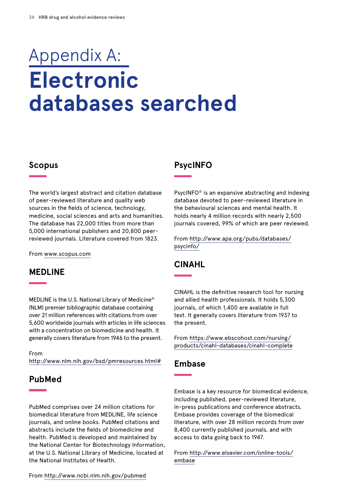## Appendix A: **Electronic databases searched**

### **Scopus**

The world's largest abstract and citation database of peer-reviewed literature and quality web sources in the fields of science, technology, medicine, social sciences and arts and humanities. The database has 22,000 titles from more than 5,000 international publishers and 20,800 peerreviewed journals. Literature covered from 1823.

From www.scopus.com

## **MEDLINE**

MEDLINE is the U.S. National Library of Medicine® (NLM) premier bibliographic database containing over 21 million references with citations from over 5,600 worldwide journals with articles in life sciences with a concentration on biomedicine and health. It generally covers literature from 1946 to the present.

From

http://www.nlm.nih.gov/bsd/pmresources.html#

## **PubMed**

PubMed comprises over 24 million citations for biomedical literature from MEDLINE, life science journals, and online books. PubMed citations and abstracts include the fields of biomedicine and health. PubMed is developed and maintained by the National Center for Biotechnology Information, at the U.S. National Library of Medicine, located at the National Institutes of Health.

### **PsycINFO**

PsycINFO® is an expansive abstracting and indexing database devoted to peer-reviewed literature in the behavioural sciences and mental health. It holds nearly 4 million records with nearly 2,500 journals covered, 99% of which are peer reviewed.

From http://www.apa.org/pubs/databases/ psycinfo/

### **CINAHL**

CINAHL is the definitive research tool for nursing and allied health professionals. It holds 5,300 journals, of which 1,400 are available in full text. It generally covers literature from 1937 to the present.

From https://www.ebscohost.com/nursing/ products/cinahl-databases/cinahl-complete

### **Embase**

Embase is a key resource for biomedical evidence, including published, peer-reviewed literature, in-press publications and conference abstracts. Embase provides coverage of the biomedical literature, with over 28 million records from over 8,400 currently published journals, and with access to data going back to 1947.

From http://www.elsevier.com/online-tools/ embase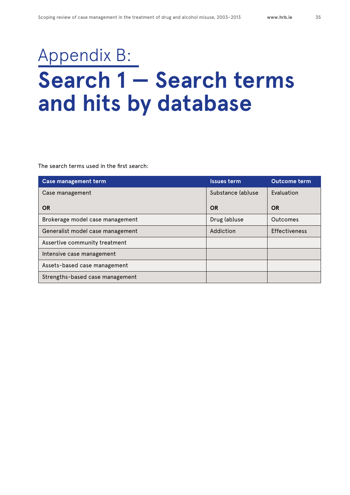## Appendix B: **Search 1 — Search terms and hits by database**

The search terms used in the first search:

| <b>Case management term</b>      | <b>Issues term</b> | <b>Outcome term</b>  |
|----------------------------------|--------------------|----------------------|
| Case management                  | Substance (ab)use  | Evaluation           |
| <b>OR</b>                        | <b>OR</b>          | <b>OR</b>            |
| Brokerage model case management  | Drug (ab)use       | <b>Outcomes</b>      |
| Generalist model case management | Addiction          | <b>Effectiveness</b> |
| Assertive community treatment    |                    |                      |
| Intensive case management        |                    |                      |
| Assets-based case management     |                    |                      |
| Strengths-based case management  |                    |                      |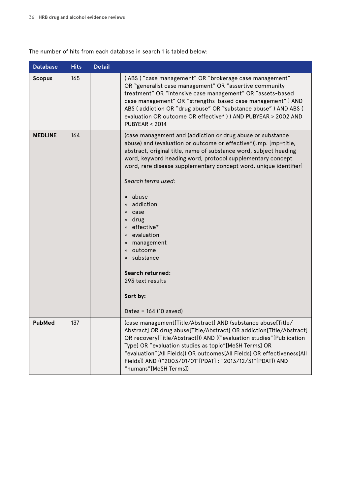The number of hits from each database in search 1 is tabled below:

| <b>Database</b> | <b>Hits</b> | <b>Detail</b> |                                                                                                                                                                                                                                                                                                                                                                                                                                                                                                                                                                                                                                                                                              |
|-----------------|-------------|---------------|----------------------------------------------------------------------------------------------------------------------------------------------------------------------------------------------------------------------------------------------------------------------------------------------------------------------------------------------------------------------------------------------------------------------------------------------------------------------------------------------------------------------------------------------------------------------------------------------------------------------------------------------------------------------------------------------|
| <b>Scopus</b>   | 165         |               | (ABS ("case management" OR "brokerage case management"<br>OR "generalist case management" OR "assertive community<br>treatment" OR "intensive case management" OR "assets-based<br>case management" OR "strengths-based case management" ) AND<br>ABS (addiction OR "drug abuse" OR "substance abuse") AND ABS (<br>evaluation OR outcome OR effective*) ) AND PUBYEAR > 2002 AND<br><b>PUBYEAR &lt; 2014</b>                                                                                                                                                                                                                                                                                |
| <b>MEDLINE</b>  | 164         |               | (case management and (addiction or drug abuse or substance<br>abuse) and (evaluation or outcome or effective*)).mp. [mp=title,<br>abstract, original title, name of substance word, subject heading<br>word, keyword heading word, protocol supplementary concept<br>word, rare disease supplementary concept word, unique identifier]<br>Search terms used:<br>abuse<br>$\,$<br>addiction<br>$\rightarrow$<br>case<br>$\rangle$<br>drug<br>$\rightarrow$<br>effective*<br>$\rightarrow$<br>evaluation<br>$\rangle$<br>management<br>$\rightarrow$<br>outcome<br>$\rightarrow$<br>substance<br>$\rightarrow$<br>Search returned:<br>293 text results<br>Sort by:<br>Dates = $164$ (10 saved) |
| <b>PubMed</b>   | 137         |               | (case management[Title/Abstract] AND (substance abuse[Title/<br>Abstract] OR drug abuse[Title/Abstract] OR addiction[Title/Abstract]<br>OR recovery[Title/Abstract])) AND (("evaluation studies"[Publication<br>Type] OR "evaluation studies as topic"[MeSH Terms] OR<br>"evaluation"[All Fields]) OR outcomes[All Fields] OR effectiveness[All<br>Fields]) AND (("2003/01/01"[PDAT]: "2013/12/31"[PDAT]) AND<br>"humans"[MeSH Terms])                                                                                                                                                                                                                                                       |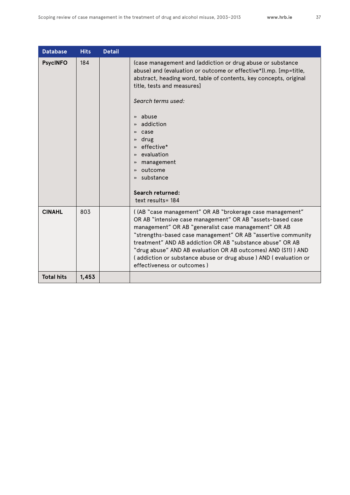| <b>Database</b>   | <b>Hits</b> | <b>Detail</b> |                                                                                                                                                                                                                                                                                                                                                                                                                                                                                                                                            |
|-------------------|-------------|---------------|--------------------------------------------------------------------------------------------------------------------------------------------------------------------------------------------------------------------------------------------------------------------------------------------------------------------------------------------------------------------------------------------------------------------------------------------------------------------------------------------------------------------------------------------|
| <b>PsycINFO</b>   | 184         |               | (case management and (addiction or drug abuse or substance<br>abuse) and (evaluation or outcome or effective*)).mp. [mp=title,<br>abstract, heading word, table of contents, key concepts, original<br>title, tests and measures]<br>Search terms used:<br>abuse<br>$\rightarrow$<br>addiction<br>$\rightarrow$<br>case<br>$\rightarrow$<br>drug<br>$\rightarrow$<br>effective*<br>$\rightarrow$<br>evaluation<br>$\rightarrow$<br>management<br>>><br>outcome<br>$\rightarrow$<br>» substance<br>Search returned:<br>text results = $184$ |
| <b>CINAHL</b>     | 803         |               | ((AB "case management" OR AB "brokerage case management"<br>OR AB "intensive case management" OR AB "assets-based case<br>management" OR AB "generalist case management" OR AB<br>"strengths-based case management" OR AB "assertive community"<br>treatment" AND AB addiction OR AB "substance abuse" OR AB<br>"drug abuse" AND AB evaluation OR AB outcomes) AND (S11) ) AND<br>(addiction or substance abuse or drug abuse) AND (evaluation or<br>effectiveness or outcomes)                                                            |
| <b>Total hits</b> | 1,453       |               |                                                                                                                                                                                                                                                                                                                                                                                                                                                                                                                                            |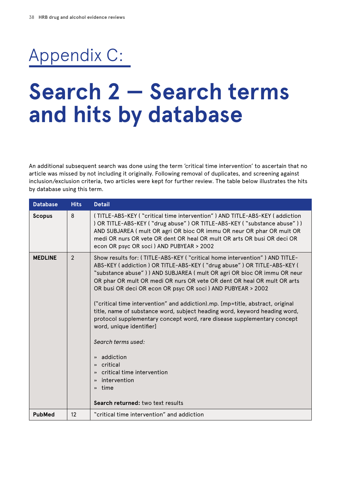## Appendix C:

## **Search 2 — Search terms and hits by database**

An additional subsequent search was done using the term 'critical time intervention' to ascertain that no article was missed by not including it originally. Following removal of duplicates, and screening against inclusion/exclusion criteria, two articles were kept for further review. The table below illustrates the hits by database using this term.

| <b>Database</b> | <b>Hits</b>    | <b>Detail</b>                                                                                                                                                                                                                                                                                                                                                                                                                                                                                                                                                                                                                                                                                                                                                                                                                                                                   |
|-----------------|----------------|---------------------------------------------------------------------------------------------------------------------------------------------------------------------------------------------------------------------------------------------------------------------------------------------------------------------------------------------------------------------------------------------------------------------------------------------------------------------------------------------------------------------------------------------------------------------------------------------------------------------------------------------------------------------------------------------------------------------------------------------------------------------------------------------------------------------------------------------------------------------------------|
| <b>Scopus</b>   | 8              | (TITLE-ABS-KEY ( "critical time intervention") AND TITLE-ABS-KEY (addiction<br>) OR TITLE-ABS-KEY ("drug abuse") OR TITLE-ABS-KEY ("substance abuse") )<br>AND SUBJAREA (mult OR agri OR bioc OR immu OR neur OR phar OR mult OR<br>medi OR nurs OR vete OR dent OR heal OR mult OR arts OR busi OR deci OR<br>econ OR psyc OR soci ) AND PUBYEAR > 2002                                                                                                                                                                                                                                                                                                                                                                                                                                                                                                                        |
| <b>MEDLINE</b>  | $\overline{2}$ | Show results for: (TITLE-ABS-KEY ("critical home intervention") AND TITLE-<br>ABS-KEY (addiction) OR TITLE-ABS-KEY ("drug abuse") OR TITLE-ABS-KEY (<br>"substance abuse")) AND SUBJAREA ( mult OR agri OR bioc OR immu OR neur<br>OR phar OR mult OR medi OR nurs OR vete OR dent OR heal OR mult OR arts<br>OR busi OR deci OR econ OR psyc OR soci) AND PUBYEAR > 2002<br>("critical time intervention" and addiction).mp. [mp=title, abstract, original<br>title, name of substance word, subject heading word, keyword heading word,<br>protocol supplementary concept word, rare disease supplementary concept<br>word, unique identifier]<br>Search terms used:<br>addiction<br>$\rightarrow$<br>critical<br>$\rightarrow$<br>critical time intervention<br>$\rightarrow$<br>intervention<br>$\rightarrow$<br>time<br>$\rightarrow$<br>Search returned: two text results |
| <b>PubMed</b>   | 12             | "critical time intervention" and addiction                                                                                                                                                                                                                                                                                                                                                                                                                                                                                                                                                                                                                                                                                                                                                                                                                                      |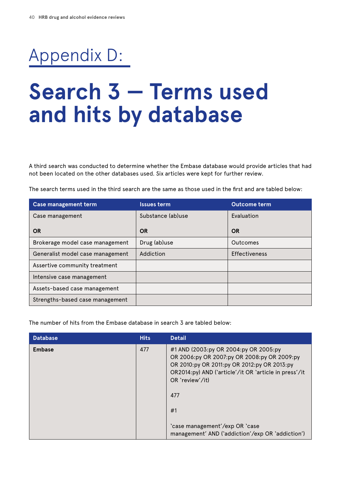## Appendix D:

## **Search 3 — Terms used and hits by database**

A third search was conducted to determine whether the Embase database would provide articles that had not been located on the other databases used. Six articles were kept for further review.

The search terms used in the third search are the same as those used in the first and are tabled below:

| <b>Case management term</b>      | <b>Issues term</b> | <b>Outcome term</b>  |
|----------------------------------|--------------------|----------------------|
| Case management                  | Substance (ab)use  | Evaluation           |
| <b>OR</b>                        | <b>OR</b>          | <b>OR</b>            |
| Brokerage model case management  | Drug (ab)use       | Outcomes             |
| Generalist model case management | Addiction          | <b>Effectiveness</b> |
| Assertive community treatment    |                    |                      |
| Intensive case management        |                    |                      |
| Assets-based case management     |                    |                      |
| Strengths-based case management  |                    |                      |

The number of hits from the Embase database in search 3 are tabled below:

| <b>Database</b> | <b>Hits</b> | <b>Detail</b>                                                                                                                                                                                                                |
|-----------------|-------------|------------------------------------------------------------------------------------------------------------------------------------------------------------------------------------------------------------------------------|
| <b>Embase</b>   | 477         | #1 AND (2003:py OR 2004:py OR 2005:py<br>OR 2006:py OR 2007:py OR 2008:py OR 2009:py<br>OR 2010:py OR 2011:py OR 2012:py OR 2013:py<br>OR2014:py) AND ('article'/it OR 'article in press'/it<br>OR 'review'/it)<br>477<br>#1 |
|                 |             | 'case management'/exp OR 'case<br>management' AND ('addiction'/exp OR 'addiction')                                                                                                                                           |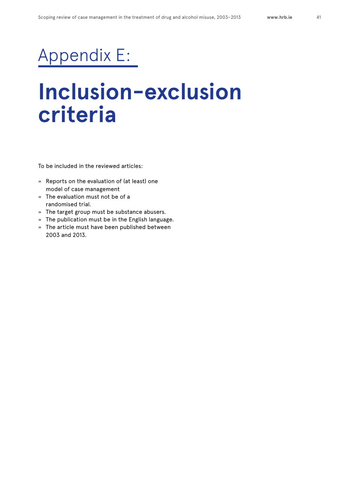## Appendix E:

## **Inclusion-exclusion criteria**

To be included in the reviewed articles:

- » Reports on the evaluation of (at least) one model of case management
- » The evaluation must not be of a randomised trial.
- » The target group must be substance abusers.
- » The publication must be in the English language.
- » The article must have been published between 2003 and 2013.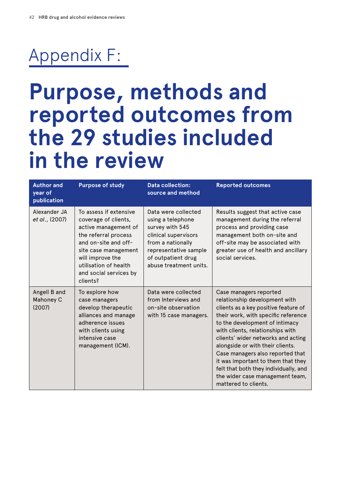## Appendix F:

## **Purpose, methods and reported outcomes from the 29 studies included in the review**

| <b>Author and</b><br>year of<br>publication | <b>Purpose of study</b>                                                                                                                                                                                                           | <b>Data collection:</b><br>source and method                                                                                                                                      | <b>Reported outcomes</b>                                                                                                                                                                                                                                                                                                                                                                                                                                             |
|---------------------------------------------|-----------------------------------------------------------------------------------------------------------------------------------------------------------------------------------------------------------------------------------|-----------------------------------------------------------------------------------------------------------------------------------------------------------------------------------|----------------------------------------------------------------------------------------------------------------------------------------------------------------------------------------------------------------------------------------------------------------------------------------------------------------------------------------------------------------------------------------------------------------------------------------------------------------------|
| Alexander JA<br>et al., (2007)              | To assess if extensive<br>coverage of clients,<br>active management of<br>the referral process<br>and on-site and off-<br>site case management<br>will improve the<br>utilisation of health<br>and social services by<br>clients? | Data were collected<br>using a telephone<br>survey with 545<br>clinical supervisors<br>from a nationally<br>representative sample<br>of outpatient drug<br>abuse treatment units. | Results suggest that active case<br>management during the referral<br>process and providing case<br>management both on-site and<br>off-site may be associated with<br>greater use of health and ancillary<br>social services.                                                                                                                                                                                                                                        |
| Angell B and<br><b>Mahoney C</b><br>(2007)  | To explore how<br>case managers<br>develop therapeutic<br>alliances and manage<br>adherence issues<br>with clients using<br>intensive case<br>management (ICM).                                                                   | Data were collected<br>from Interviews and<br>on-site observation<br>with 15 case managers.                                                                                       | Case managers reported<br>relationship development with<br>clients as a key positive feature of<br>their work, with specific reference<br>to the development of intimacy<br>with clients, relationships with<br>clients' wider networks and acting<br>alongside or with their clients.<br>Case managers also reported that<br>it was important to them that they<br>felt that both they individually, and<br>the wider case management team,<br>mattered to clients. |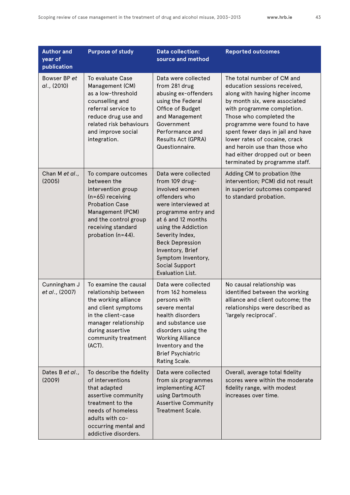| <b>Author and</b><br>year of<br>publication | <b>Purpose of study</b>                                                                                                                                                                         | <b>Data collection:</b><br>source and method                                                                                                                                                                                                                                                     | <b>Reported outcomes</b>                                                                                                                                                                                                                                                                                                                                                                           |
|---------------------------------------------|-------------------------------------------------------------------------------------------------------------------------------------------------------------------------------------------------|--------------------------------------------------------------------------------------------------------------------------------------------------------------------------------------------------------------------------------------------------------------------------------------------------|----------------------------------------------------------------------------------------------------------------------------------------------------------------------------------------------------------------------------------------------------------------------------------------------------------------------------------------------------------------------------------------------------|
| Bowser BP et<br>al., (2010)                 | To evaluate Case<br>Management (CM)<br>as a low-threshold<br>counselling and<br>referral service to<br>reduce drug use and<br>related risk behaviours<br>and improve social<br>integration.     | Data were collected<br>from 281 drug<br>abusing ex-offenders<br>using the Federal<br>Office of Budget<br>and Management<br>Government<br>Performance and<br>Results Act (GPRA)<br>Questionnaire.                                                                                                 | The total number of CM and<br>education sessions received,<br>along with having higher income<br>by month six, were associated<br>with programme completion.<br>Those who completed the<br>programme were found to have<br>spent fewer days in jail and have<br>lower rates of cocaine, crack<br>and heroin use than those who<br>had either dropped out or been<br>terminated by programme staff. |
| Chan M et al.,<br>(2005)                    | To compare outcomes<br>between the<br>intervention group<br>$(n=65)$ receiving<br><b>Probation Case</b><br>Management (PCM)<br>and the control group<br>receiving standard<br>probation (n=44). | Data were collected<br>from 109 drug-<br>involved women<br>offenders who<br>were interviewed at<br>programme entry and<br>at 6 and 12 months<br>using the Addiction<br>Severity Index,<br><b>Beck Depression</b><br>Inventory, Brief<br>Symptom Inventory,<br>Social Support<br>Evaluation List. | Adding CM to probation (the<br>intervention; PCM) did not result<br>in superior outcomes compared<br>to standard probation.                                                                                                                                                                                                                                                                        |
| Cunningham J<br>et al., (2007)              | To examine the causal<br>relationship between<br>the working alliance<br>and client symptoms<br>in the client-case<br>manager relationship<br>during assertive<br>community treatment<br>(ACT). | Data were collected<br>from 162 homeless<br>persons with<br>severe mental<br>health disorders<br>and substance use<br>disorders using the<br><b>Working Alliance</b><br>Inventory and the<br><b>Brief Psychiatric</b><br>Rating Scale.                                                           | No causal relationship was<br>identified between the working<br>alliance and client outcome; the<br>relationships were described as<br>'largely reciprocal'.                                                                                                                                                                                                                                       |
| Dates B et al.,<br>(2009)                   | To describe the fidelity<br>of interventions<br>that adapted<br>assertive community<br>treatment to the<br>needs of homeless<br>adults with co-<br>occurring mental and<br>addictive disorders. | Data were collected<br>from six programmes<br>implementing ACT<br>using Dartmouth<br><b>Assertive Community</b><br>Treatment Scale.                                                                                                                                                              | Overall, average total fidelity<br>scores were within the moderate<br>fidelity range, with modest<br>increases over time.                                                                                                                                                                                                                                                                          |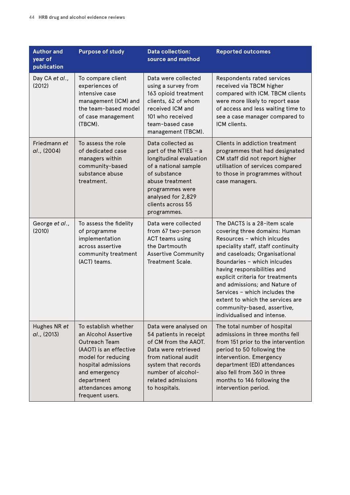| <b>Author and</b><br>year of<br>publication | <b>Purpose of study</b>                                                                                                                                                                                     | <b>Data collection:</b><br>source and method                                                                                                                                                                  | <b>Reported outcomes</b>                                                                                                                                                                                                                                                                                                                                                                                                                 |
|---------------------------------------------|-------------------------------------------------------------------------------------------------------------------------------------------------------------------------------------------------------------|---------------------------------------------------------------------------------------------------------------------------------------------------------------------------------------------------------------|------------------------------------------------------------------------------------------------------------------------------------------------------------------------------------------------------------------------------------------------------------------------------------------------------------------------------------------------------------------------------------------------------------------------------------------|
| Day CA et al.,<br>(2012)                    | To compare client<br>experiences of<br>intensive case<br>management (ICM) and<br>the team-based model<br>of case management<br>(TBCM).                                                                      | Data were collected<br>using a survey from<br>163 opioid treatment<br>clients, 62 of whom<br>received ICM and<br>101 who received<br>team-based case<br>management (TBCM).                                    | Respondents rated services<br>received via TBCM higher<br>compared with ICM. TBCM clients<br>were more likely to report ease<br>of access and less waiting time to<br>see a case manager compared to<br>ICM clients.                                                                                                                                                                                                                     |
| Friedmann et<br>al., (2004)                 | To assess the role<br>of dedicated case<br>managers within<br>community-based<br>substance abuse<br>treatment.                                                                                              | Data collected as<br>part of the NTIES - a<br>longitudinal evaluation<br>of a national sample<br>of substance<br>abuse treatment<br>programmes were<br>analysed for 2,829<br>clients across 55<br>programmes. | Clients in addiction treatment<br>programmes that had designated<br>CM staff did not report higher<br>utilisation of services compared<br>to those in programmes without<br>case managers.                                                                                                                                                                                                                                               |
| George et al.,<br>(2010)                    | To assess the fidelity<br>of programme<br>implementation<br>across assertive<br>community treatment<br>(ACT) teams.                                                                                         | Data were collected<br>from 67 two-person<br>ACT teams using<br>the Dartmouth<br><b>Assertive Community</b><br>Treatment Scale.                                                                               | The DACTS is a 28-item scale<br>covering three domains: Human<br>Resources - which inlcudes<br>speciality staff, staff continuity<br>and caseloads; Organisational<br>Boundaries - which inlcudes<br>having responsibilities and<br>explicit criteria for treatments<br>and admissions; and Nature of<br>Services - which includes the<br>extent to which the services are<br>community-based, assertive,<br>individualised and intense. |
| Hughes NR et<br>al., (2013)                 | To establish whether<br>an Alcohol Assertive<br>Outreach Team<br>(AAOT) is an effective<br>model for reducing<br>hospital admissions<br>and emergency<br>department<br>attendances among<br>frequent users. | Data were analysed on<br>54 patients in receipt<br>of CM from the AAOT.<br>Data were retrieved<br>from national audit<br>system that records<br>number of alcohol-<br>related admissions<br>to hospitals.     | The total number of hospital<br>admissions in three months fell<br>from 151 prior to the intervention<br>period to 50 following the<br>intervention. Emergency<br>department (ED) attendances<br>also fell from 360 in three<br>months to 146 following the<br>intervention period.                                                                                                                                                      |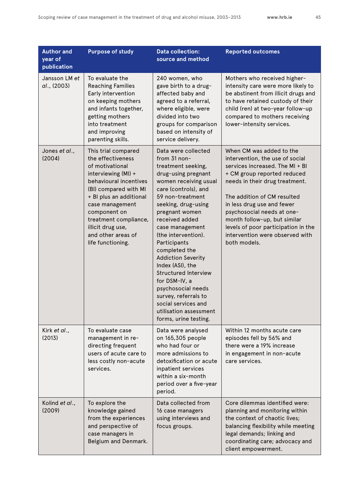| <b>Author and</b><br>year of<br>publication | <b>Purpose of study</b>                                                                                                                                                                                                                                                                      | <b>Data collection:</b><br>source and method                                                                                                                                                                                                                                                                                                                                                                                                                                                                         | <b>Reported outcomes</b>                                                                                                                                                                                                                                                                                                                                                             |
|---------------------------------------------|----------------------------------------------------------------------------------------------------------------------------------------------------------------------------------------------------------------------------------------------------------------------------------------------|----------------------------------------------------------------------------------------------------------------------------------------------------------------------------------------------------------------------------------------------------------------------------------------------------------------------------------------------------------------------------------------------------------------------------------------------------------------------------------------------------------------------|--------------------------------------------------------------------------------------------------------------------------------------------------------------------------------------------------------------------------------------------------------------------------------------------------------------------------------------------------------------------------------------|
| Jansson LM et<br>al., (2003)                | To evaluate the<br><b>Reaching Families</b><br>Early intervention<br>on keeping mothers<br>and infants together,<br>getting mothers<br>into treatment<br>and improving<br>parenting skills.                                                                                                  | 240 women, who<br>gave birth to a drug-<br>affected baby and<br>agreed to a referral,<br>where eligible, were<br>divided into two<br>groups for comparison<br>based on intensity of<br>service delivery.                                                                                                                                                                                                                                                                                                             | Mothers who received higher-<br>intensity care were more likely to<br>be abstinent from illicit drugs and<br>to have retained custody of their<br>child (ren) at two-year follow-up<br>compared to mothers receiving<br>lower-intensity services.                                                                                                                                    |
| Jones et al.,<br>(2004)                     | This trial compared<br>the effectiveness<br>of motivational<br>interviewing (MI) +<br>behavioural incentives<br>(BI) compared with MI<br>+ BI plus an additional<br>case management<br>component on<br>treatment compliance,<br>illicit drug use,<br>and other areas of<br>life functioning. | Data were collected<br>from 31 non-<br>treatment seeking,<br>drug-using pregnant<br>women receiving usual<br>care (controls), and<br>59 non-treatment<br>seeking, drug-using<br>pregnant women<br>received added<br>case management<br>(the intervention).<br>Participants<br>completed the<br><b>Addiction Severity</b><br>Index (ASI), the<br><b>Structured Interview</b><br>for DSM-IV, a<br>psychosocial needs<br>survey, referrals to<br>social services and<br>utilisation assessment<br>forms, urine testing. | When CM was added to the<br>intervention, the use of social<br>services increased. The MI + BI<br>+ CM group reported reduced<br>needs in their drug treatment.<br>The addition of CM resulted<br>in less drug use and fewer<br>psychosocial needs at one-<br>month follow-up, but similar<br>levels of poor participation in the<br>intervention were observed with<br>both models. |
| Kirk et al.,<br>(2013)                      | To evaluate case<br>management in re-<br>directing frequent<br>users of acute care to<br>less costly non-acute<br>services.                                                                                                                                                                  | Data were analysed<br>on 165,305 people<br>who had four or<br>more admissions to<br>detoxification or acute<br>inpatient services<br>within a six-month<br>period over a five-year<br>period.                                                                                                                                                                                                                                                                                                                        | Within 12 months acute care<br>episodes fell by 56% and<br>there were a 19% increase<br>in engagement in non-acute<br>care services.                                                                                                                                                                                                                                                 |
| Kolind et al.,<br>(2009)                    | To explore the<br>knowledge gained<br>from the experiences<br>and perspective of<br>case managers in<br>Belgium and Denmark.                                                                                                                                                                 | Data collected from<br>16 case managers<br>using interviews and<br>focus groups.                                                                                                                                                                                                                                                                                                                                                                                                                                     | Core dilemmas identified were:<br>planning and monitoring within<br>the context of chaotic lives;<br>balancing flexibility while meeting<br>legal demands; linking and<br>coordinating care; advocacy and<br>client empowerment.                                                                                                                                                     |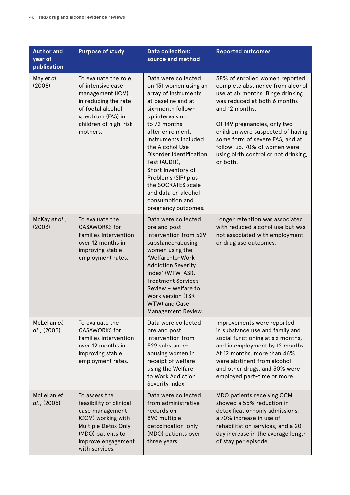| <b>Author and</b><br>year of<br>publication | <b>Purpose of study</b>                                                                                                                                                      | <b>Data collection:</b><br>source and method                                                                                                                                                                                                                                                                                                                                                      | <b>Reported outcomes</b>                                                                                                                                                                                                                                                                                                                              |
|---------------------------------------------|------------------------------------------------------------------------------------------------------------------------------------------------------------------------------|---------------------------------------------------------------------------------------------------------------------------------------------------------------------------------------------------------------------------------------------------------------------------------------------------------------------------------------------------------------------------------------------------|-------------------------------------------------------------------------------------------------------------------------------------------------------------------------------------------------------------------------------------------------------------------------------------------------------------------------------------------------------|
| May et al.,<br>(2008)                       | To evaluate the role<br>of intensive case<br>management (ICM)<br>in reducing the rate<br>of foetal alcohol<br>spectrum (FAS) in<br>children of high-risk<br>mothers.         | Data were collected<br>on 131 women using an<br>array of instruments<br>at baseline and at<br>six-month follow-<br>up intervals up<br>to 72 months<br>after enrolment.<br>Instruments included<br>the Alcohol Use<br>Disorder Identification<br>Test (AUDIT),<br>Short Inventory of<br>Problems (SIP) plus<br>the SOCRATES scale<br>and data on alcohol<br>consumption and<br>pregnancy outcomes. | 38% of enrolled women reported<br>complete abstinence from alcohol<br>use at six months. Binge drinking<br>was reduced at both 6 months<br>and 12 months.<br>Of 149 pregnancies, only two<br>children were suspected of having<br>some form of severe FAS, and at<br>follow-up, 70% of women were<br>using birth control or not drinking,<br>or both. |
| McKay et al.,<br>(2003)                     | To evaluate the<br><b>CASAWORKS</b> for<br><b>Families Intervention</b><br>over 12 months in<br>improving stable<br>employment rates.                                        | Data were collected<br>pre and post<br>intervention from 529<br>substance-abusing<br>women using the<br>'Welfare-to-Work<br><b>Addiction Severity</b><br>Index' (WTW-ASI),<br><b>Treatment Services</b><br>Review - Welfare to<br><b>Work version (TSR-</b><br>WTW) and Case<br>Management Review.                                                                                                | Longer retention was associated<br>with reduced alcohol use but was<br>not associated with employment<br>or drug use outcomes.                                                                                                                                                                                                                        |
| McLellan et<br>al., (2003)                  | To evaluate the<br><b>CASAWORKS</b> for<br><b>Families intervention</b><br>over 12 months in<br>improving stable<br>employment rates.                                        | Data were collected<br>pre and post<br>intervention from<br>529 substance-<br>abusing women in<br>receipt of welfare<br>using the Welfare<br>to Work Addiction<br>Severity Index.                                                                                                                                                                                                                 | Improvements were reported<br>in substance use and family and<br>social functioning at six months,<br>and in employment by 12 months.<br>At 12 months, more than 46%<br>were abstinent from alcohol<br>and other drugs, and 30% were<br>employed part-time or more.                                                                                   |
| McLellan et<br>al., (2005)                  | To assess the<br>feasibility of clinical<br>case management<br>(CCM) working with<br><b>Multiple Detox Only</b><br>(MDO) patients to<br>improve engagement<br>with services. | Data were collected<br>from administrative<br>records on<br>890 multiple<br>detoxification-only<br>(MDO) patients over<br>three years.                                                                                                                                                                                                                                                            | MDO patients receiving CCM<br>showed a 55% reduction in<br>detoxification-only admissions,<br>a 70% increase in use of<br>rehabilitation services, and a 20-<br>day increase in the average length<br>of stay per episode.                                                                                                                            |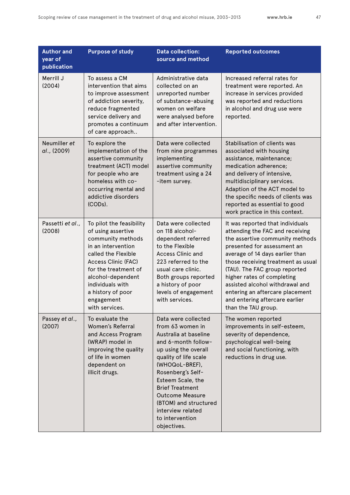| <b>Author and</b><br>year of<br>publication | <b>Purpose of study</b>                                                                                                                                                                                                                                              | Data collection:<br>source and method                                                                                                                                                                                                                                                                                                    | <b>Reported outcomes</b>                                                                                                                                                                                                                                                                                                                                                                                     |
|---------------------------------------------|----------------------------------------------------------------------------------------------------------------------------------------------------------------------------------------------------------------------------------------------------------------------|------------------------------------------------------------------------------------------------------------------------------------------------------------------------------------------------------------------------------------------------------------------------------------------------------------------------------------------|--------------------------------------------------------------------------------------------------------------------------------------------------------------------------------------------------------------------------------------------------------------------------------------------------------------------------------------------------------------------------------------------------------------|
| Merrill J<br>(2004)                         | To assess a CM<br>intervention that aims<br>to improve assessment<br>of addiction severity,<br>reduce fragmented<br>service delivery and<br>promotes a continuum<br>of care approach                                                                                 | Administrative data<br>collected on an<br>unreported number<br>of substance-abusing<br>women on welfare<br>were analysed before<br>and after intervention.                                                                                                                                                                               | Increased referral rates for<br>treatment were reported. An<br>increase in services provided<br>was reported and reductions<br>in alcohol and drug use were<br>reported.                                                                                                                                                                                                                                     |
| Neumiller et<br>al., (2009)                 | To explore the<br>implementation of the<br>assertive community<br>treatment (ACT) model<br>for people who are<br>homeless with co-<br>occurring mental and<br>addictive disorders<br>(CODs).                                                                         | Data were collected<br>from nine programmes<br>implementing<br>assertive community<br>treatment using a 24<br>-item survey.                                                                                                                                                                                                              | Stabilisation of clients was<br>associated with housing<br>assistance, maintenance;<br>medication adherence;<br>and delivery of intensive,<br>multidisciplinary services.<br>Adaption of the ACT model to<br>the specific needs of clients was<br>reported as essential to good<br>work practice in this context.                                                                                            |
| Passetti et al.,<br>(2008)                  | To pilot the feasibility<br>of using assertive<br>community methods<br>in an intervention<br>called the Flexible<br><b>Access Clinic (FAC)</b><br>for the treatment of<br>alcohol-dependent<br>individuals with<br>a history of poor<br>engagement<br>with services. | Data were collected<br>on 118 alcohol-<br>dependent referred<br>to the Flexible<br><b>Access Clinic and</b><br>223 referred to the<br>usual care clinic.<br>Both groups reported<br>a history of poor<br>levels of engagement<br>with services.                                                                                          | It was reported that individuals<br>attending the FAC and receiving<br>the assertive community methods<br>presented for assessment an<br>average of 14 days earlier than<br>those receiving treatment as usual<br>(TAU). The FAC group reported<br>higher rates of completing<br>assisted alcohol withdrawal and<br>entering an aftercare placement<br>and entering aftercare earlier<br>than the TAU group. |
| Passey et al.,<br>(2007)                    | To evaluate the<br>Women's Referral<br>and Access Program<br>(WRAP) model in<br>improving the quality<br>of life in women<br>dependent on<br>illicit drugs.                                                                                                          | Data were collected<br>from 63 women in<br>Australia at baseline<br>and 6-month follow-<br>up using the overall<br>quality of life scale<br>(WHOQoL-BREF),<br>Rosenberg's Self-<br>Esteem Scale, the<br><b>Brief Treatment</b><br><b>Outcome Measure</b><br>(BTOM) and structured<br>interview related<br>to intervention<br>objectives. | The women reported<br>improvements in self-esteem,<br>severity of dependence,<br>psychological well-being<br>and social functioning, with<br>reductions in drug use.                                                                                                                                                                                                                                         |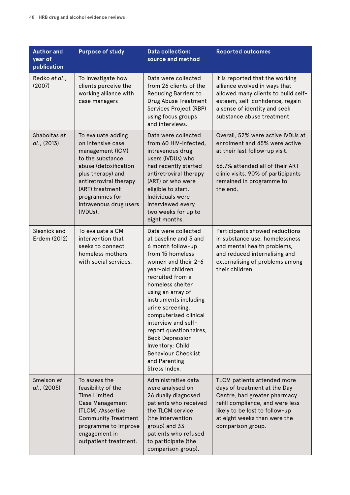| <b>Author and</b><br>year of<br>publication | <b>Purpose of study</b>                                                                                                                                                                                                            | <b>Data collection:</b><br>source and method                                                                                                                                                                                                                                                                                                                                                                                        | <b>Reported outcomes</b>                                                                                                                                                                                               |
|---------------------------------------------|------------------------------------------------------------------------------------------------------------------------------------------------------------------------------------------------------------------------------------|-------------------------------------------------------------------------------------------------------------------------------------------------------------------------------------------------------------------------------------------------------------------------------------------------------------------------------------------------------------------------------------------------------------------------------------|------------------------------------------------------------------------------------------------------------------------------------------------------------------------------------------------------------------------|
| Redko et al.,<br>(2007)                     | To investigate how<br>clients perceive the<br>working alliance with<br>case managers                                                                                                                                               | Data were collected<br>from 26 clients of the<br>Reducing Barriers to<br><b>Drug Abuse Treatment</b><br>Services Project (RBP)<br>using focus groups<br>and interviews.                                                                                                                                                                                                                                                             | It is reported that the working<br>alliance evolved in ways that<br>allowed many clients to build self-<br>esteem, self-confidence, regain<br>a sense of identity and seek<br>substance abuse treatment.               |
| Shaboltas et<br>al., (2013)                 | To evaluate adding<br>on intensive case<br>management (ICM)<br>to the substance<br>abuse (detoxification<br>plus therapy) and<br>antiretroviral therapy<br>(ART) treatment<br>programmes for<br>intravenous drug users<br>(IVDUs). | Data were collected<br>from 60 HIV-infected,<br>intravenous drug<br>users (IVDUs) who<br>had recently started<br>antiretroviral therapy<br>(ART) or who were<br>eligible to start.<br>Individuals were<br>interviewed every<br>two weeks for up to<br>eight months.                                                                                                                                                                 | Overall, 52% were active IVDUs at<br>enrolment and 45% were active<br>at their last follow-up visit.<br>66.7% attended all of their ART<br>clinic visits. 90% of participants<br>remained in programme to<br>the end.  |
| Slesnick and<br>Erdem (2012)                | To evaluate a CM<br>intervention that<br>seeks to connect<br>homeless mothers<br>with social services.                                                                                                                             | Data were collected<br>at baseline and 3 and<br>6 month follow-up<br>from 15 homeless<br>women and their 2-6<br>year-old children<br>recruited from a<br>homeless shelter<br>using an array of<br>instruments including<br>urine screening,<br>computerised clinical<br>interview and self-<br>report questionnaires,<br><b>Beck Depression</b><br>Inventory; Child<br><b>Behaviour Checklist</b><br>and Parenting<br>Stress Index. | Participants showed reductions<br>in substance use, homelessness<br>and mental health problems,<br>and reduced internalising and<br>externalising of problems among<br>their children.                                 |
| Smelson et<br>al., (2005)                   | To assess the<br>feasibility of the<br><b>Time Limited</b><br><b>Case Management</b><br>(TLCM) /Assertive<br><b>Community Treatment</b><br>programme to improve<br>engagement in<br>outpatient treatment.                          | Administrative data<br>were analysed on<br>26 dually diagnosed<br>patients who received<br>the TLCM service<br>(the intervention<br>group) and 33<br>patients who refused<br>to participate (the<br>comparison group).                                                                                                                                                                                                              | TLCM patients attended more<br>days of treatment at the Day<br>Centre, had greater pharmacy<br>refill compliance, and were less<br>likely to be lost to follow-up<br>at eight weeks than were the<br>comparison group. |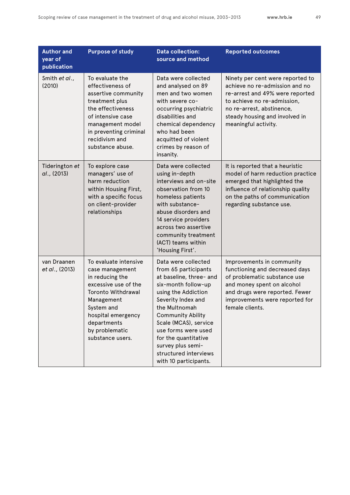| <b>Author and</b><br>year of<br>publication | <b>Purpose of study</b>                                                                                                                                                                                          | <b>Data collection:</b><br>source and method                                                                                                                                                                                                                                                                                           | <b>Reported outcomes</b>                                                                                                                                                                                                    |
|---------------------------------------------|------------------------------------------------------------------------------------------------------------------------------------------------------------------------------------------------------------------|----------------------------------------------------------------------------------------------------------------------------------------------------------------------------------------------------------------------------------------------------------------------------------------------------------------------------------------|-----------------------------------------------------------------------------------------------------------------------------------------------------------------------------------------------------------------------------|
| Smith et al.,<br>(2010)                     | To evaluate the<br>effectiveness of<br>assertive community<br>treatment plus<br>the effectiveness<br>of intensive case<br>management model<br>in preventing criminal<br>recidivism and<br>substance abuse.       | Data were collected<br>and analysed on 89<br>men and two women<br>with severe co-<br>occurring psychiatric<br>disabilities and<br>chemical dependency<br>who had been<br>acquitted of violent<br>crimes by reason of<br>insanity.                                                                                                      | Ninety per cent were reported to<br>achieve no re-admission and no<br>re-arrest and 49% were reported<br>to achieve no re-admission,<br>no re-arrest, abstinence,<br>steady housing and involved in<br>meaningful activity. |
| Tiderington et<br>al., (2013)               | To explore case<br>managers' use of<br>harm reduction<br>within Housing First,<br>with a specific focus<br>on client-provider<br>relationships                                                                   | Data were collected<br>using in-depth<br>interviews and on-site<br>observation from 10<br>homeless patients<br>with substance-<br>abuse disorders and<br>14 service providers<br>across two assertive<br>community treatment<br>(ACT) teams within<br>'Housing First'.                                                                 | It is reported that a heuristic<br>model of harm reduction practice<br>emerged that highlighted the<br>influence of relationship quality<br>on the paths of communication<br>regarding substance use.                       |
| van Draanen<br>et al., (2013)               | To evaluate intensive<br>case management<br>in reducing the<br>excessive use of the<br>Toronto Withdrawal<br>Management<br>System and<br>hospital emergency<br>departments<br>by problematic<br>substance users. | Data were collected<br>from 65 participants<br>at baseline, three- and<br>six-month follow-up<br>using the Addiction<br>Severity Index and<br>the Multnomah<br><b>Community Ability</b><br>Scale (MCAS), service<br>use forms were used<br>for the quantitative<br>survey plus semi-<br>structured interviews<br>with 10 participants. | Improvements in community<br>functioning and decreased days<br>of problematic substance use<br>and money spent on alcohol<br>and drugs were reported. Fewer<br>improvements were reported for<br>female clients.            |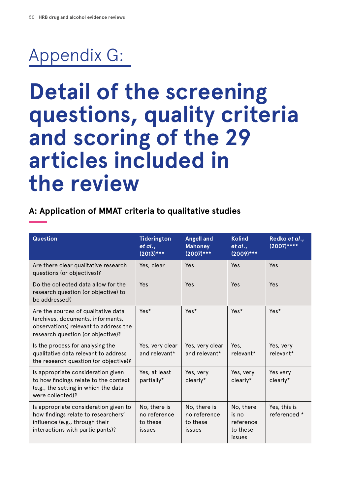## Appendix G:

## **Detail of the screening questions, quality criteria and scoring of the 29 articles included in the review**

## **A: Application of MMAT criteria to qualitative studies**

| <b>Question</b>                                                                                                                                        | <b>Tiderington</b><br>et al.,<br>$(2013)***$       | <b>Angell and</b><br><b>Mahoney</b><br>$(2007)***$ | <b>Kolind</b><br>et al.,<br>$(2009)$ ***              | Redko et al.,<br>$(2007)***$ |
|--------------------------------------------------------------------------------------------------------------------------------------------------------|----------------------------------------------------|----------------------------------------------------|-------------------------------------------------------|------------------------------|
| Are there clear qualitative research<br>questions (or objectives)?                                                                                     | Yes, clear                                         | Yes                                                | Yes                                                   | Yes                          |
| Do the collected data allow for the<br>research question (or objective) to<br>be addressed?                                                            | Yes                                                | Yes                                                | Yes                                                   | Yes                          |
| Are the sources of qualitative data<br>(archives, documents, informants,<br>observations) relevant to address the<br>research question (or objective)? | Yes*                                               | Yes*                                               | Yes*                                                  | Yes*                         |
| Is the process for analysing the<br>qualitative data relevant to address<br>the research question (or objective)?                                      | Yes, very clear<br>and relevant*                   | Yes, very clear<br>and relevant*                   | Yes,<br>relevant*                                     | Yes, very<br>relevant*       |
| Is appropriate consideration given<br>to how findings relate to the context<br>(e.g., the setting in which the data<br>were collected)?                | Yes, at least<br>partially*                        | Yes, very<br>clearly*                              | Yes, very<br>clearly*                                 | Yes very<br>clearly*         |
| Is appropriate consideration given to<br>how findings relate to researchers'<br>influence (e.g., through their<br>interactions with participants)?     | No, there is<br>no reference<br>to these<br>issues | No, there is<br>no reference<br>to these<br>issues | No, there<br>is no<br>reference<br>to these<br>issues | Yes, this is<br>referenced * |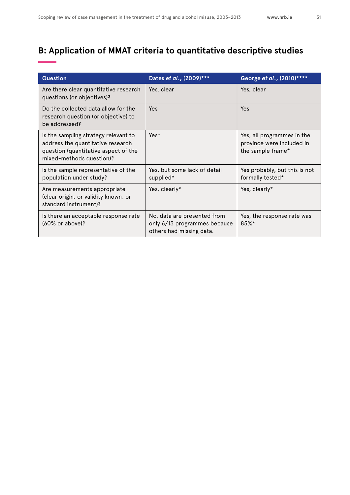## **B: Application of MMAT criteria to quantitative descriptive studies**

| <b>Question</b>                                                                                                                               | Dates et al., (2009)***                                                                 | George et al., (2010)****                                                    |
|-----------------------------------------------------------------------------------------------------------------------------------------------|-----------------------------------------------------------------------------------------|------------------------------------------------------------------------------|
| Are there clear quantitative research<br>questions (or objectives)?                                                                           | Yes, clear                                                                              | Yes, clear                                                                   |
| Do the collected data allow for the<br>research question (or objective) to<br>be addressed?                                                   | Yes                                                                                     | Yes                                                                          |
| Is the sampling strategy relevant to<br>address the quantitative research<br>question (quantitative aspect of the<br>mixed-methods question)? | Yes*                                                                                    | Yes, all programmes in the<br>province were included in<br>the sample frame* |
| Is the sample representative of the<br>population under study?                                                                                | Yes, but some lack of detail<br>supplied*                                               | Yes probably, but this is not<br>formally tested*                            |
| Are measurements appropriate<br>(clear origin, or validity known, or<br>standard instrument)?                                                 | Yes, clearly*                                                                           | Yes, clearly*                                                                |
| Is there an acceptable response rate<br>(60% or above)?                                                                                       | No, data are presented from<br>only 6/13 programmes because<br>others had missing data. | Yes, the response rate was<br>$85%$ *                                        |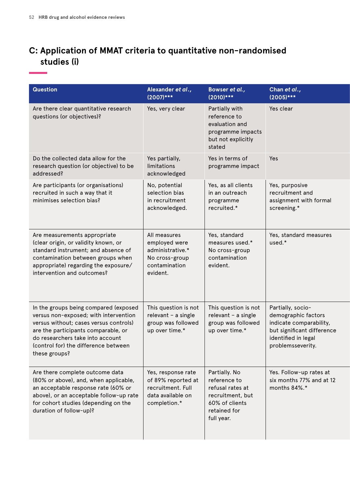## **C: Application of MMAT criteria to quantitative non-randomised studies (i)**

| <b>Question</b>                                                                                                                                                                                                                                              | Alexander et al.,<br>$(2007)$ ***                                                                  | Bowser et al.,<br>$(2010)***$                                                                                         | Chan et al.,<br>$(2005)***$                                                                                                                   |
|--------------------------------------------------------------------------------------------------------------------------------------------------------------------------------------------------------------------------------------------------------------|----------------------------------------------------------------------------------------------------|-----------------------------------------------------------------------------------------------------------------------|-----------------------------------------------------------------------------------------------------------------------------------------------|
| Are there clear quantitative research<br>questions (or objectives)?                                                                                                                                                                                          | Yes, very clear                                                                                    | Partially with<br>reference to<br>evaluation and<br>programme impacts<br>but not explicitly<br>stated                 | Yes clear                                                                                                                                     |
| Do the collected data allow for the<br>research question (or objective) to be<br>addressed?                                                                                                                                                                  | Yes partially,<br>limitations<br>acknowledged                                                      | Yes in terms of<br>programme impact                                                                                   | Yes                                                                                                                                           |
| Are participants (or organisations)<br>recruited in such a way that it<br>minimises selection bias?                                                                                                                                                          | No, potential<br>selection bias<br>in recruitment<br>acknowledged.                                 | Yes, as all clients<br>in an outreach<br>programme<br>recruited.*                                                     | Yes, purposive<br>recruitment and<br>assignment with formal<br>screening.*                                                                    |
| Are measurements appropriate<br>(clear origin, or validity known, or<br>standard instrument; and absence of<br>contamination between groups when<br>appropriate) regarding the exposure/<br>intervention and outcomes?                                       | All measures<br>employed were<br>administrative.*<br>No cross-group<br>contamination<br>evident.   | Yes, standard<br>measures used.*<br>No cross-group<br>contamination<br>evident.                                       | Yes, standard measures<br>used.*                                                                                                              |
| In the groups being compared (exposed<br>versus non-exposed; with intervention<br>versus without; cases versus controls)<br>are the participants comparable, or<br>do researchers take into account<br>(control for) the difference between<br>these groups? | This question is not<br>relevant - a single<br>group was followed<br>up over time.*                | This question is not<br>relevant - a single<br>group was followed<br>up over time.*                                   | Partially, socio-<br>demographic factors<br>indicate comparability,<br>but significant difference<br>identified in legal<br>problemsseverity. |
| Are there complete outcome data<br>(80% or above), and, when applicable,<br>an acceptable response rate (60% or<br>above), or an acceptable follow-up rate<br>for cohort studies (depending on the<br>duration of follow-up)?                                | Yes, response rate<br>of 89% reported at<br>recruitment. Full<br>data available on<br>completion.* | Partially. No<br>reference to<br>refusal rates at<br>recruitment, but<br>60% of clients<br>retained for<br>full year. | Yes. Follow-up rates at<br>six months 77% and at 12<br>months 84%.*                                                                           |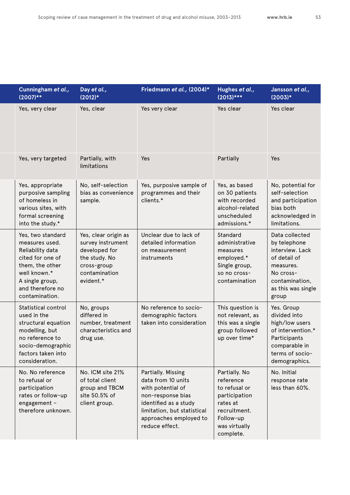| Cunningham et al.,<br>$(2007)$ **                                                                                                                                       | Day et al.,<br>$(2012)*$                                                                                                 | Friedmann et al., (2004)*                                                                                                                                                              | Hughes et al.,<br>$(2013)***$                                                                                                       | Jansson et al.,<br>$(2003)*$                                                                                                                 |
|-------------------------------------------------------------------------------------------------------------------------------------------------------------------------|--------------------------------------------------------------------------------------------------------------------------|----------------------------------------------------------------------------------------------------------------------------------------------------------------------------------------|-------------------------------------------------------------------------------------------------------------------------------------|----------------------------------------------------------------------------------------------------------------------------------------------|
| Yes, very clear                                                                                                                                                         | Yes, clear                                                                                                               | Yes very clear                                                                                                                                                                         | Yes clear                                                                                                                           | Yes clear                                                                                                                                    |
| Yes, very targeted                                                                                                                                                      | Partially, with<br>limitations                                                                                           | Yes                                                                                                                                                                                    | Partially                                                                                                                           | Yes                                                                                                                                          |
| Yes, appropriate<br>purposive sampling<br>of homeless in<br>various sites, with<br>formal screening<br>into the study.*                                                 | No, self-selection<br>bias as convenience<br>sample.                                                                     | Yes, purposive sample of<br>programmes and their<br>clients.*                                                                                                                          | Yes, as based<br>on 30 patients<br>with recorded<br>alcohol-related<br>unscheduled<br>admissions.*                                  | No, potential for<br>self-selection<br>and participation<br>bias both<br>acknowledged in<br>limitations.                                     |
| Yes, two standard<br>measures used.<br>Reliability data<br>cited for one of<br>them, the other<br>well known.*<br>A single group,<br>and therefore no<br>contamination. | Yes, clear origin as<br>survey instrument<br>developed for<br>the study. No<br>cross-group<br>contamination<br>evident.* | Unclear due to lack of<br>detailed information<br>on measurement<br>instruments                                                                                                        | Standard<br>administrative<br>measures<br>employed.*<br>Single group,<br>so no cross-<br>contamination                              | Data collected<br>by telephone<br>interview. Lack<br>of detail of<br>measures.<br>No cross-<br>contamination,<br>as this was single<br>group |
| Statistical control<br>used in the<br>structural equation<br>modelling, but<br>no reference to<br>socio-demographic<br>factors taken into<br>consideration.             | No, groups<br>differed in<br>number, treatment<br>characteristics and<br>drug use.                                       | No reference to socio-<br>demographic factors<br>taken into consideration                                                                                                              | This question is<br>not relevant, as<br>this was a single<br>group followed<br>up over time*                                        | Yes. Group<br>divided into<br>high/low users<br>of intervention.*<br>Participants<br>comparable in<br>terms of socio-<br>demographics.       |
| No. No reference<br>to refusal or<br>participation<br>rates or follow-up<br>engagement-<br>therefore unknown.                                                           | No. ICM site 21%<br>of total client<br>group and TBCM<br>site 50.5% of<br>client group.                                  | Partially. Missing<br>data from 10 units<br>with potential of<br>non-response bias<br>identified as a study<br>limitation, but statistical<br>approaches employed to<br>reduce effect. | Partially. No<br>reference<br>to refusal or<br>participation<br>rates at<br>recruitment.<br>Follow-up<br>was virtually<br>complete. | No. Initial<br>response rate<br>less than 60%.                                                                                               |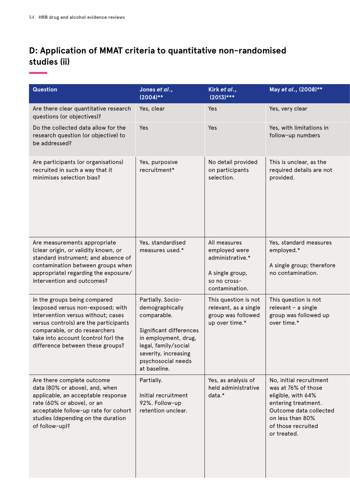## **D: Application of MMAT criteria to quantitative non-randomised studies (ii)**

| <b>Question</b>                                                                                                                                                                                                                                              | Jones et al.,<br>$(2004)$ **                                                                                                                                                                 | Kirk et al.,<br>$(2013)***$                                                                            | May et al., (2008)**                                                                                                                                                           |
|--------------------------------------------------------------------------------------------------------------------------------------------------------------------------------------------------------------------------------------------------------------|----------------------------------------------------------------------------------------------------------------------------------------------------------------------------------------------|--------------------------------------------------------------------------------------------------------|--------------------------------------------------------------------------------------------------------------------------------------------------------------------------------|
| Are there clear quantitative research<br>questions (or objectives)?                                                                                                                                                                                          | Yes, clear                                                                                                                                                                                   | Yes                                                                                                    | Yes, very clear                                                                                                                                                                |
| Do the collected data allow for the<br>research question (or objective) to<br>be addressed?                                                                                                                                                                  | Yes                                                                                                                                                                                          | Yes                                                                                                    | Yes, with limitations in<br>follow-up numbers                                                                                                                                  |
| Are participants (or organisations)<br>recruited in such a way that it<br>minimises selection bias?                                                                                                                                                          | Yes, purposive<br>recruitment*                                                                                                                                                               | No detail provided<br>on participants<br>selection.                                                    | This is unclear, as the<br>required details are not<br>provided.                                                                                                               |
| Are measurements appropriate<br>(clear origin, or validity known, or<br>standard instrument; and absence of<br>contamination between groups when<br>appropriate) regarding the exposure/<br>intervention and outcomes?                                       | Yes, standardised<br>measures used.*                                                                                                                                                         | All measures<br>employed were<br>administrative.*<br>A single group,<br>so no cross-<br>contamination. | Yes, standard measures<br>employed.*<br>A single group; therefore<br>no contamination.                                                                                         |
| In the groups being compared<br>(exposed versus non-exposed; with<br>intervention versus without; cases<br>versus controls) are the participants<br>comparable, or do researchers<br>take into account (control for) the<br>difference between these groups? | Partially. Socio-<br>demographically<br>comparable.<br>Significant differences<br>in employment, drug,<br>legal, family/social<br>severity, increasing<br>psychosocial needs<br>at baseline. | This question is not<br>relevant, as a single<br>group was followed<br>up over time.*                  | This question is not<br>relevant - a single<br>group was followed up<br>over time.*                                                                                            |
| Are there complete outcome<br>data (80% or above), and, when<br>applicable, an acceptable response<br>rate (60% or above), or an<br>acceptable follow-up rate for cohort<br>studies (depending on the duration<br>of follow-up)?                             | Partially.<br>Initial recruitment<br>92%. Follow-up<br>retention unclear.                                                                                                                    | Yes, as analysis of<br>held administrative<br>data.*                                                   | No, initial recruitment<br>was at 76% of those<br>eligible, with 64%<br>entering treatment.<br>Outcome data collected<br>on less than 80%<br>of those recruited<br>or treated. |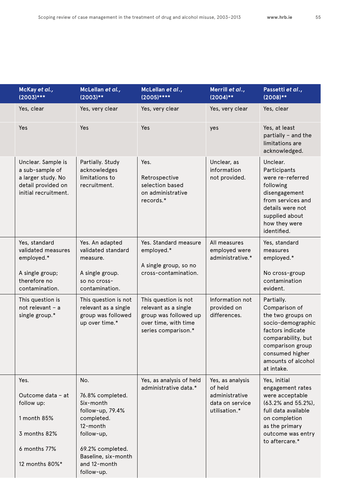| McKay et al.,<br>$(2003)***$                                                                              | McLellan et al.,<br>$(2003)$ **                                                      | McLellan et al.,<br>$(2005)***$                                                                                      | Merrill et al.,<br>$(2004)$ **                                                    | Passetti et al.,<br>$(2008)$ **                                                                                                                                                            |
|-----------------------------------------------------------------------------------------------------------|--------------------------------------------------------------------------------------|----------------------------------------------------------------------------------------------------------------------|-----------------------------------------------------------------------------------|--------------------------------------------------------------------------------------------------------------------------------------------------------------------------------------------|
| Yes, clear                                                                                                | Yes, very clear                                                                      | Yes, very clear                                                                                                      | Yes, very clear                                                                   | Yes, clear                                                                                                                                                                                 |
| Yes                                                                                                       | Yes                                                                                  | Yes                                                                                                                  | yes                                                                               | Yes, at least<br>partially - and the<br>limitations are<br>acknowledged.                                                                                                                   |
| Unclear. Sample is<br>a sub-sample of<br>a larger study. No<br>detail provided on<br>initial recruitment. | Partially. Study<br>acknowledges<br>limitations to<br>recruitment.                   | Yes.<br>Retrospective<br>selection based<br>on administrative<br>records.*                                           | Unclear, as<br>information<br>not provided.                                       | Unclear.<br>Participants<br>were re-referred<br>following<br>disengagement<br>from services and<br>details were not<br>supplied about<br>how they were<br>identified.                      |
| Yes, standard<br>validated measures<br>employed.*<br>A single group;                                      | Yes. An adapted<br>validated standard<br>measure.<br>A single group.                 | Yes. Standard measure<br>employed.*<br>A single group, so no<br>cross-contamination.                                 | All measures<br>employed were<br>administrative.*                                 | Yes, standard<br>measures<br>employed.*<br>No cross-group                                                                                                                                  |
| therefore no<br>contamination.                                                                            | so no cross-<br>contamination.                                                       |                                                                                                                      |                                                                                   | contamination<br>evident.                                                                                                                                                                  |
| This question is<br>not relevant - a<br>single group.*                                                    | This question is not<br>relevant as a single<br>group was followed<br>up over time.* | This question is not<br>relevant as a single<br>group was followed up<br>over time, with time<br>series comparison.* | Information not<br>provided on<br>differences.                                    | Partially.<br>Comparison of<br>the two groups on<br>socio-demographic<br>factors indicate<br>comparability, but<br>comparison group<br>consumed higher<br>amounts of alcohol<br>at intake. |
| Yes.<br>Outcome data - at<br>follow up:<br>1 month 85%                                                    | No.<br>76.8% completed.<br>Six-month<br>follow-up, 79.4%<br>completed.               | Yes, as analysis of held<br>administrative data.*                                                                    | Yes, as analysis<br>of held<br>administrative<br>data on service<br>utilisation.* | Yes, initial<br>engagement rates<br>were acceptable<br>(63.2% and 55.2%),<br>full data available<br>on completion                                                                          |
| 3 months 82%<br>6 months 77%                                                                              | 12-month<br>follow-up,<br>69.2% completed.                                           |                                                                                                                      |                                                                                   | as the primary<br>outcome was entry<br>to aftercare.*                                                                                                                                      |
| 12 months 80%*                                                                                            | Baseline, six-month<br>and 12-month<br>follow-up.                                    |                                                                                                                      |                                                                                   |                                                                                                                                                                                            |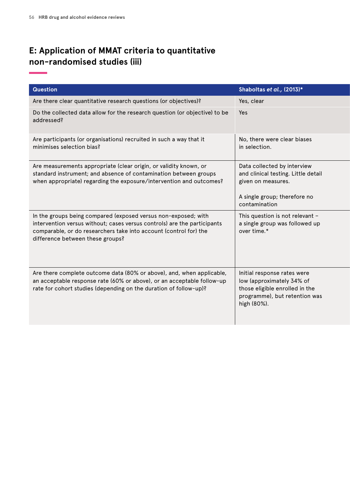## **E: Application of MMAT criteria to quantitative non-randomised studies (iii)**

| <b>Question</b>                                                                                                                                                                                                                                     | Shaboltas et al., (2013)*                                                                                                                  |
|-----------------------------------------------------------------------------------------------------------------------------------------------------------------------------------------------------------------------------------------------------|--------------------------------------------------------------------------------------------------------------------------------------------|
| Are there clear quantitative research questions (or objectives)?                                                                                                                                                                                    | Yes, clear                                                                                                                                 |
| Do the collected data allow for the research question (or objective) to be<br>addressed?                                                                                                                                                            | Yes                                                                                                                                        |
| Are participants (or organisations) recruited in such a way that it<br>minimises selection bias?                                                                                                                                                    | No, there were clear biases<br>in selection.                                                                                               |
| Are measurements appropriate (clear origin, or validity known, or<br>standard instrument; and absence of contamination between groups<br>when appropriate) regarding the exposure/intervention and outcomes?                                        | Data collected by interview<br>and clinical testing. Little detail<br>given on measures.<br>A single group; therefore no<br>contamination  |
| In the groups being compared (exposed versus non-exposed; with<br>intervention versus without; cases versus controls) are the participants<br>comparable, or do researchers take into account (control for) the<br>difference between these groups? | This question is not relevant -<br>a single group was followed up<br>over time.*                                                           |
| Are there complete outcome data (80% or above), and, when applicable,<br>an acceptable response rate (60% or above), or an acceptable follow-up<br>rate for cohort studies (depending on the duration of follow-up)?                                | Initial response rates were<br>low (approximately 34% of<br>those eligible enrolled in the<br>programme), but retention was<br>high (80%). |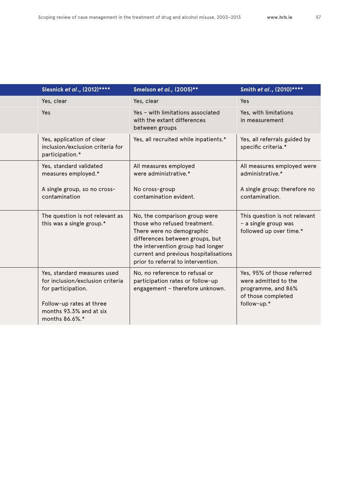| Slesnick et al., (2012)****                                                                                                                                    | Smelson et al., (2005)**                                                                                                                                                                                                                          | Smith et al., (2010)****                                                                                      |
|----------------------------------------------------------------------------------------------------------------------------------------------------------------|---------------------------------------------------------------------------------------------------------------------------------------------------------------------------------------------------------------------------------------------------|---------------------------------------------------------------------------------------------------------------|
| Yes, clear                                                                                                                                                     | Yes, clear                                                                                                                                                                                                                                        | Yes                                                                                                           |
| Yes                                                                                                                                                            | Yes - with limitations associated<br>with the extant differences<br>between groups                                                                                                                                                                | Yes, with limitations<br>in measurement                                                                       |
| Yes, application of clear<br>inclusion/exclusion criteria for<br>participation.*                                                                               | Yes, all recruited while inpatients.*                                                                                                                                                                                                             | Yes, all referrals guided by<br>specific criteria.*                                                           |
| Yes, standard validated<br>measures employed.*                                                                                                                 | All measures employed<br>were administrative.*                                                                                                                                                                                                    | All measures employed were<br>administrative.*                                                                |
| A single group, so no cross-<br>contamination                                                                                                                  | No cross-group<br>contamination evident.                                                                                                                                                                                                          | A single group; therefore no<br>contamination.                                                                |
| The question is not relevant as<br>this was a single group.*                                                                                                   | No, the comparison group were<br>those who refused treatment.<br>There were no demographic<br>differences between groups, but<br>the intervention group had longer<br>current and previous hospitalisations<br>prior to referral to intervention. | This question is not relevant<br>- a single group was<br>followed up over time.*                              |
| Yes, standard measures used<br>for inclusion/exclusion criteria<br>for participation.<br>Follow-up rates at three<br>months 93.3% and at six<br>months 86.6%.* | No, no reference to refusal or<br>participation rates or follow-up<br>engagement - therefore unknown.                                                                                                                                             | Yes, 95% of those referred<br>were admitted to the<br>programme, and 86%<br>of those completed<br>follow-up.* |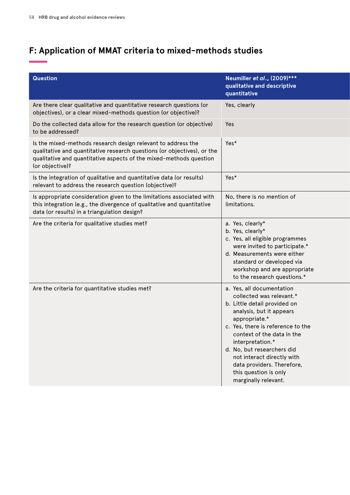## **F: Application of MMAT criteria to mixed-methods studies**

| <b>Question</b>                                                                                                                                                                                                                  | Neumiller et al., (2009)***<br>qualitative and descriptive<br>quantitative                                                                                                                                                                                                                                                                   |
|----------------------------------------------------------------------------------------------------------------------------------------------------------------------------------------------------------------------------------|----------------------------------------------------------------------------------------------------------------------------------------------------------------------------------------------------------------------------------------------------------------------------------------------------------------------------------------------|
| Are there clear qualitative and quantitative research questions (or<br>objectives), or a clear mixed-methods question (or objective)?                                                                                            | Yes, clearly                                                                                                                                                                                                                                                                                                                                 |
| Do the collected data allow for the research question (or objective)<br>to be addressed?                                                                                                                                         | Yes                                                                                                                                                                                                                                                                                                                                          |
| Is the mixed-methods research design relevant to address the<br>qualitative and quantitative research questions (or objectives), or the<br>qualitative and quantitative aspects of the mixed-methods question<br>(or objective)? | Yes*                                                                                                                                                                                                                                                                                                                                         |
| Is the integration of qualitative and quantitative data (or results)<br>relevant to address the research question (objective)?                                                                                                   | Yes*                                                                                                                                                                                                                                                                                                                                         |
| Is appropriate consideration given to the limitations associated with<br>this integration (e.g., the divergence of qualitative and quantitative<br>data (or results) in a triangulation design?                                  | No, there is no mention of<br>limitations.                                                                                                                                                                                                                                                                                                   |
| Are the criteria for qualitative studies met?                                                                                                                                                                                    | a. Yes, clearly*<br>b. Yes, clearly*<br>c. Yes, all eligible programmes<br>were invited to participate.*<br>d. Measurements were either<br>standard or developed via<br>workshop and are appropriate<br>to the research questions.*                                                                                                          |
| Are the criteria for quantitative studies met?                                                                                                                                                                                   | a. Yes, all documentation<br>collected was relevant.*<br>b. Little detail provided on<br>analysis, but it appears<br>appropriate.*<br>c. Yes, there is reference to the<br>context of the data in the<br>interpretation.*<br>d. No, but researchers did<br>not interact directly with<br>data providers. Therefore,<br>this question is only |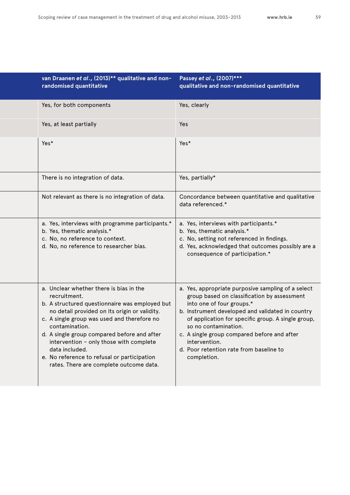| van Draanen et al., (2013)** qualitative and non-<br>randomised quantitative                                                                                                                                                                                                                                                                                                                                                      | Passey et al., (2007)***<br>qualitative and non-randomised quantitative                                                                                                                                                                                                                                                                                                                    |
|-----------------------------------------------------------------------------------------------------------------------------------------------------------------------------------------------------------------------------------------------------------------------------------------------------------------------------------------------------------------------------------------------------------------------------------|--------------------------------------------------------------------------------------------------------------------------------------------------------------------------------------------------------------------------------------------------------------------------------------------------------------------------------------------------------------------------------------------|
| Yes, for both components                                                                                                                                                                                                                                                                                                                                                                                                          | Yes, clearly                                                                                                                                                                                                                                                                                                                                                                               |
| Yes, at least partially                                                                                                                                                                                                                                                                                                                                                                                                           | Yes                                                                                                                                                                                                                                                                                                                                                                                        |
| Yes*                                                                                                                                                                                                                                                                                                                                                                                                                              | Yes*                                                                                                                                                                                                                                                                                                                                                                                       |
| There is no integration of data.                                                                                                                                                                                                                                                                                                                                                                                                  | Yes, partially*                                                                                                                                                                                                                                                                                                                                                                            |
| Not relevant as there is no integration of data.                                                                                                                                                                                                                                                                                                                                                                                  | Concordance between quantitative and qualitative<br>data referenced.*                                                                                                                                                                                                                                                                                                                      |
| a. Yes, interviews with programme participants.*<br>b. Yes, thematic analysis.*<br>c. No, no reference to context.<br>d. No, no reference to researcher bias.                                                                                                                                                                                                                                                                     | a. Yes, interviews with participants.*<br>b. Yes, thematic analysis.*<br>c. No, setting not referenced in findings.<br>d. Yes, acknowledged that outcomes possibly are a<br>consequence of participation.*                                                                                                                                                                                 |
| a. Unclear whether there is bias in the<br>recruitment.<br>b. A structured questionnaire was employed but<br>no detail provided on its origin or validity.<br>c. A single group was used and therefore no<br>contamination.<br>d. A single group compared before and after<br>intervention - only those with complete<br>data included.<br>e. No reference to refusal or participation<br>rates. There are complete outcome data. | a. Yes, appropriate purposive sampling of a select<br>group based on classification by assessment<br>into one of four groups.*<br>b. Instrument developed and validated in country<br>of application for specific group. A single group,<br>so no contamination.<br>c. A single group compared before and after<br>intervention.<br>d. Poor retention rate from baseline to<br>completion. |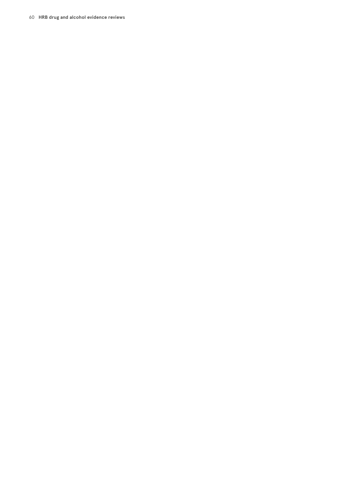**HRB drug and alcohol evidence reviews**